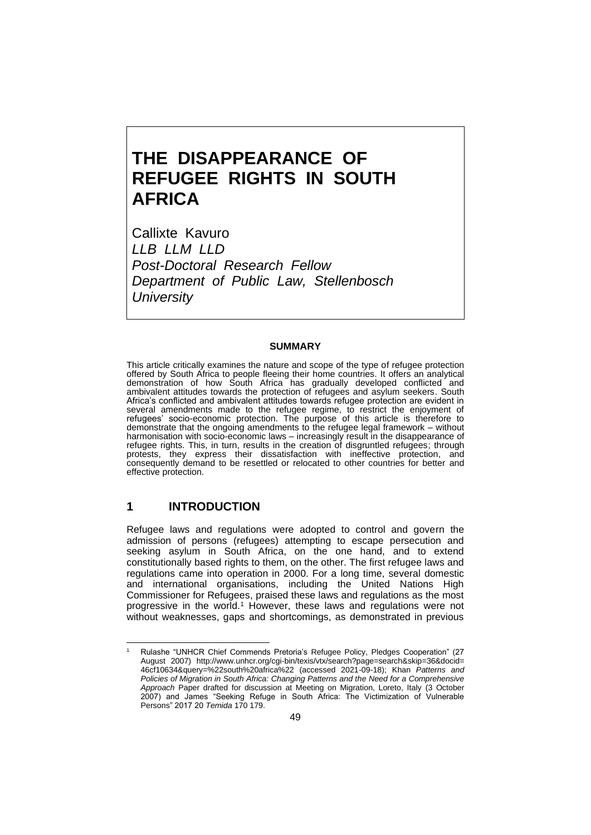# **THE DISAPPEARANCE OF REFUGEE RIGHTS IN SOUTH AFRICA**

Callixte Kavuro *LLB LLM LLD Post-Doctoral Research Fellow Department of Public Law, Stellenbosch University*

#### **SUMMARY**

This article critically examines the nature and scope of the type of refugee protection offered by South Africa to people fleeing their home countries. It offers an analytical demonstration of how South Africa has gradually developed conflicted and ambivalent attitudes towards the protection of refugees and asylum seekers. South Africa's conflicted and ambivalent attitudes towards refugee protection are evident in several amendments made to the refugee regime, to restrict the enjoyment of refugees' socio-economic protection. The purpose of this article is therefore to demonstrate that the ongoing amendments to the refugee legal framework – without harmonisation with socio-economic laws – increasingly result in the disappearance of refugee rights. This, in turn, results in the creation of disgruntled refugees; through protests, they express their dissatisfaction with ineffective protection, and consequently demand to be resettled or relocated to other countries for better and effective protection.

## **1 INTRODUCTION**

Refugee laws and regulations were adopted to control and govern the admission of persons (refugees) attempting to escape persecution and seeking asylum in South Africa, on the one hand, and to extend constitutionally based rights to them, on the other. The first refugee laws and regulations came into operation in 2000. For a long time, several domestic and international organisations, including the United Nations High Commissioner for Refugees, praised these laws and regulations as the most progressive in the world.<sup>1</sup> However, these laws and regulations were not without weaknesses, gaps and shortcomings, as demonstrated in previous

<sup>1</sup> Rulashe "UNHCR Chief Commends Pretoria's Refugee Policy, Pledges Cooperation" (27 August 2007) [http://www.unhcr.org/cgi-bin/texis/vtx/search?page=search&skip=](http://www.unhcr.org/cgi-bin/texis/vtx/search?page=search&skip)36&docid= 46cf10634&query=%22south%20africa%22 (accessed 2021-09-18); Khan *Patterns and Policies of Migration in South Africa: Changing Patterns and the Need for a Comprehensive Approach* Paper drafted for discussion at Meeting on Migration, Loreto, Italy (3 October 2007) and James "Seeking Refuge in South Africa: The Victimization of Vulnerable Persons" 2017 20 *Temida* 170 179.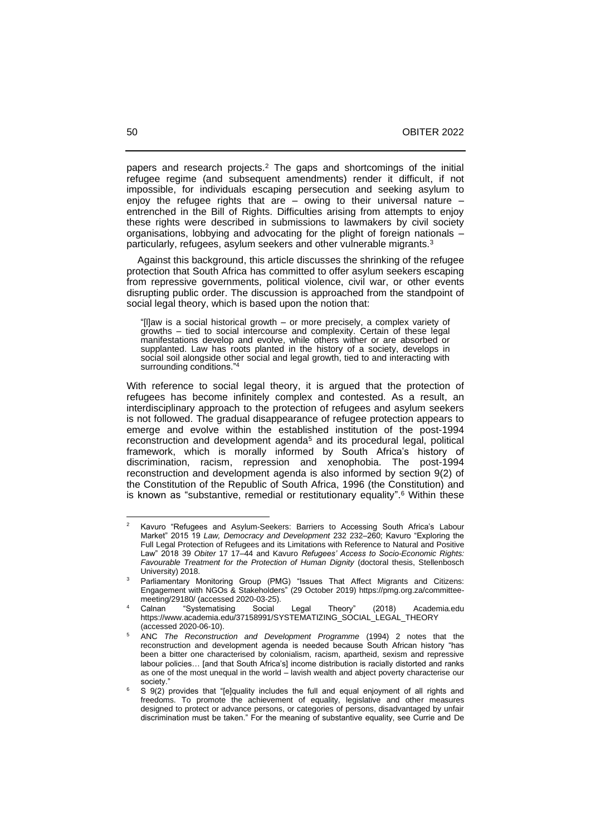papers and research projects.<sup>2</sup> The gaps and shortcomings of the initial refugee regime (and subsequent amendments) render it difficult, if not impossible, for individuals escaping persecution and seeking asylum to enjoy the refugee rights that are – owing to their universal nature – entrenched in the Bill of Rights. Difficulties arising from attempts to enjoy these rights were described in submissions to lawmakers by civil society organisations, lobbying and advocating for the plight of foreign nationals – particularly, refugees, asylum seekers and other vulnerable migrants.<sup>3</sup>

 Against this background, this article discusses the shrinking of the refugee protection that South Africa has committed to offer asylum seekers escaping from repressive governments, political violence, civil war, or other events disrupting public order. The discussion is approached from the standpoint of social legal theory, which is based upon the notion that:

"[l]aw is a social historical growth – or more precisely, a complex variety of growths – tied to social intercourse and complexity. Certain of these legal manifestations develop and evolve, while others wither or are absorbed or supplanted. Law has roots planted in the history of a society, develops in social soil alongside other social and legal growth, tied to and interacting with surrounding conditions."

With reference to social legal theory, it is argued that the protection of refugees has become infinitely complex and contested. As a result, an interdisciplinary approach to the protection of refugees and asylum seekers is not followed. The gradual disappearance of refugee protection appears to emerge and evolve within the established institution of the post-1994 reconstruction and development agenda<sup>5</sup> and its procedural legal, political framework, which is morally informed by South Africa's history of discrimination, racism, repression and xenophobia. The post-1994 reconstruction and development agenda is also informed by section 9(2) of the Constitution of the Republic of South Africa, 1996 (the Constitution) and is known as "substantive, remedial or restitutionary equality". <sup>6</sup> Within these

<sup>2</sup> Kavuro "Refugees and Asylum-Seekers: Barriers to Accessing South Africa's Labour Market" 2015 19 *Law, Democracy and Development* 232 232-260; Kavuro "Exploring the Full Legal Protection of Refugees and its Limitations with Reference to Natural and Positive Law" 2018 39 Obiter 17 17-44 and Kavuro *Refugees' Access to Socio-Economic Rights: Favourable Treatment for the Protection of Human Dignity* (doctoral thesis, Stellenbosch University) 2018.

Parliamentary Monitoring Group (PMG) "Issues That Affect Migrants and Citizens: Engagement with NGOs & Stakeholders" (29 October 2019) https://pmg.org.za/committeemeeting/29180/ (accessed 2020-03-25).

Calnan "Systematising Social Legal Theory" (2018) Academia.edu https://www.academia.edu/37158991/SYSTEMATIZING\_SÓCIAL\_LEGAL\_THEORY (accessed 2020-06-10).

<sup>5</sup> ANC *The Reconstruction and Development Programme* (1994) 2 notes that the reconstruction and development agenda is needed because South African history "has been a bitter one characterised by colonialism, racism, apartheid, sexism and repressive labour policies… [and that South Africa's] income distribution is racially distorted and ranks as one of the most unequal in the world – lavish wealth and abject poverty characterise our society.

<sup>6</sup> S 9(2) provides that "[e]quality includes the full and equal enjoyment of all rights and freedoms. To promote the achievement of equality, legislative and other measures designed to protect or advance persons, or categories of persons, disadvantaged by unfair discrimination must be taken." For the meaning of substantive equality, see Currie and De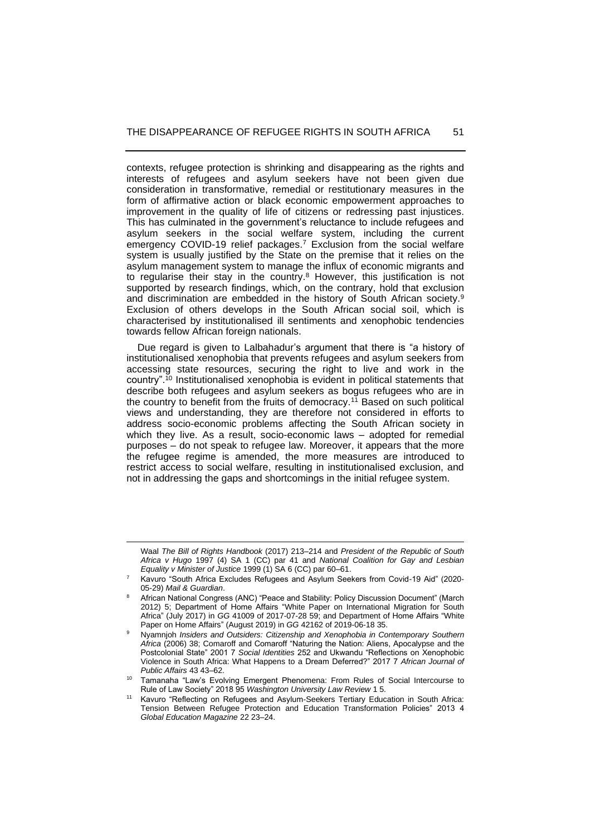contexts, refugee protection is shrinking and disappearing as the rights and interests of refugees and asylum seekers have not been given due consideration in transformative, remedial or restitutionary measures in the form of affirmative action or black economic empowerment approaches to improvement in the quality of life of citizens or redressing past injustices. This has culminated in the government's reluctance to include refugees and asylum seekers in the social welfare system, including the current emergency COVID-19 relief packages. <sup>7</sup> Exclusion from the social welfare system is usually justified by the State on the premise that it relies on the asylum management system to manage the influx of economic migrants and to regularise their stay in the country.<sup>8</sup> However, this justification is not supported by research findings, which, on the contrary, hold that exclusion and discrimination are embedded in the history of South African society.<sup>9</sup> Exclusion of others develops in the South African social soil, which is characterised by institutionalised ill sentiments and xenophobic tendencies towards fellow African foreign nationals.

 Due regard is given to Lalbahadur's argument that there is "a history of institutionalised xenophobia that prevents refugees and asylum seekers from accessing state resources, securing the right to live and work in the country". <sup>10</sup> Institutionalised xenophobia is evident in political statements that describe both refugees and asylum seekers as bogus refugees who are in the country to benefit from the fruits of democracy.<sup>11</sup> Based on such political views and understanding, they are therefore not considered in efforts to address socio-economic problems affecting the South African society in which they live. As a result, socio-economic laws – adopted for remedial purposes – do not speak to refugee law. Moreover, it appears that the more the refugee regime is amended, the more measures are introduced to restrict access to social welfare, resulting in institutionalised exclusion, and not in addressing the gaps and shortcomings in the initial refugee system.

Waal *The Bill of Rights Handbook* (2017) 213‒214 and *President of the Republic of South Africa v Hugo* 1997 (4) SA 1 (CC) par 41 and *National Coalition for Gay and Lesbian Equality v Minister of Justice* 1999 (1) SA 6 (CC) par 60‒61.

<sup>7</sup> Kavuro "South Africa Excludes Refugees and Asylum Seekers from Covid-19 Aid" (2020- 05-29) *Mail & Guardian*.

<sup>8</sup> African National Congress (ANC) "Peace and Stability: Policy Discussion Document" (March 2012) 5; Department of Home Affairs "White Paper on International Migration for South Africa" (July 2017) in *GG* 41009 of 2017-07-28 59; and Department of Home Affairs "White Paper on Home Affairs" (August 2019) in *GG* 42162 of 2019-06-18 35.

<sup>9</sup> Nyamnjoh *Insiders and Outsiders: Citizenship and Xenophobia in Contemporary Southern Africa* (2006) 38; Comaroff and Comaroff "Naturing the Nation: Aliens, Apocalypse and the Postcolonial State" 2001 7 *Social Identities* 252 and Ukwandu "Reflections on Xenophobic Violence in South Africa: What Happens to a Dream Deferred?" 2017 7 *African Journal of Public Affairs* 43 43‒62.

<sup>10</sup> Tamanaha "Law's Evolving Emergent Phenomena: From Rules of Social Intercourse to Rule of Law Society" 2018 95 *Washington University Law Review* 1 5.

Kavuro "Reflecting on Refugees and Asylum-Seekers Tertiary Education in South Africa: Tension Between Refugee Protection and Education Transformation Policies" 2013 4 *Global Education Magazine* 22 23‒24.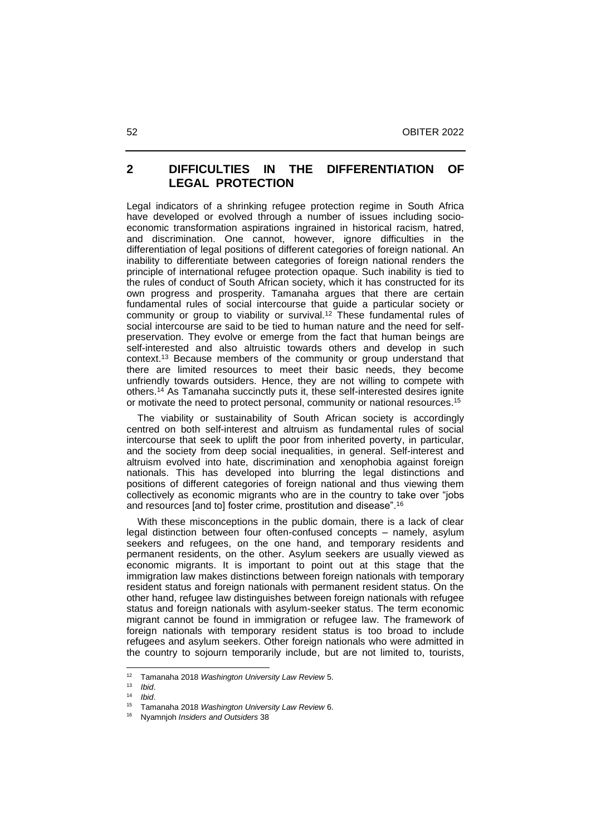## **2 DIFFICULTIES IN THE DIFFERENTIATION OF LEGAL PROTECTION**

Legal indicators of a shrinking refugee protection regime in South Africa have developed or evolved through a number of issues including socioeconomic transformation aspirations ingrained in historical racism, hatred, and discrimination. One cannot, however, ignore difficulties in the differentiation of legal positions of different categories of foreign national. An inability to differentiate between categories of foreign national renders the principle of international refugee protection opaque. Such inability is tied to the rules of conduct of South African society, which it has constructed for its own progress and prosperity. Tamanaha argues that there are certain fundamental rules of social intercourse that guide a particular society or community or group to viability or survival. <sup>12</sup> These fundamental rules of social intercourse are said to be tied to human nature and the need for selfpreservation. They evolve or emerge from the fact that human beings are self-interested and also altruistic towards others and develop in such context.<sup>13</sup> Because members of the community or group understand that there are limited resources to meet their basic needs, they become unfriendly towards outsiders. Hence, they are not willing to compete with others.<sup>14</sup> As Tamanaha succinctly puts it, these self-interested desires ignite or motivate the need to protect personal, community or national resources. 15

 The viability or sustainability of South African society is accordingly centred on both self-interest and altruism as fundamental rules of social intercourse that seek to uplift the poor from inherited poverty, in particular, and the society from deep social inequalities, in general. Self-interest and altruism evolved into hate, discrimination and xenophobia against foreign nationals. This has developed into blurring the legal distinctions and positions of different categories of foreign national and thus viewing them collectively as economic migrants who are in the country to take over "jobs and resources [and to] foster crime, prostitution and disease". 16

 With these misconceptions in the public domain, there is a lack of clear legal distinction between four often-confused concepts – namely, asylum seekers and refugees, on the one hand, and temporary residents and permanent residents, on the other. Asylum seekers are usually viewed as economic migrants. It is important to point out at this stage that the immigration law makes distinctions between foreign nationals with temporary resident status and foreign nationals with permanent resident status. On the other hand, refugee law distinguishes between foreign nationals with refugee status and foreign nationals with asylum-seeker status. The term economic migrant cannot be found in immigration or refugee law. The framework of foreign nationals with temporary resident status is too broad to include refugees and asylum seekers. Other foreign nationals who were admitted in the country to sojourn temporarily include, but are not limited to, tourists,

<sup>12</sup> Tamanaha 2018 *Washington University Law Review* 5.

<sup>13</sup> *Ibid*.

<sup>14</sup> *Ibid*.

<sup>15</sup> Tamanaha 2018 *Washington University Law Review* 6.

<sup>16</sup> Nyamnjoh *Insiders and Outsiders* 38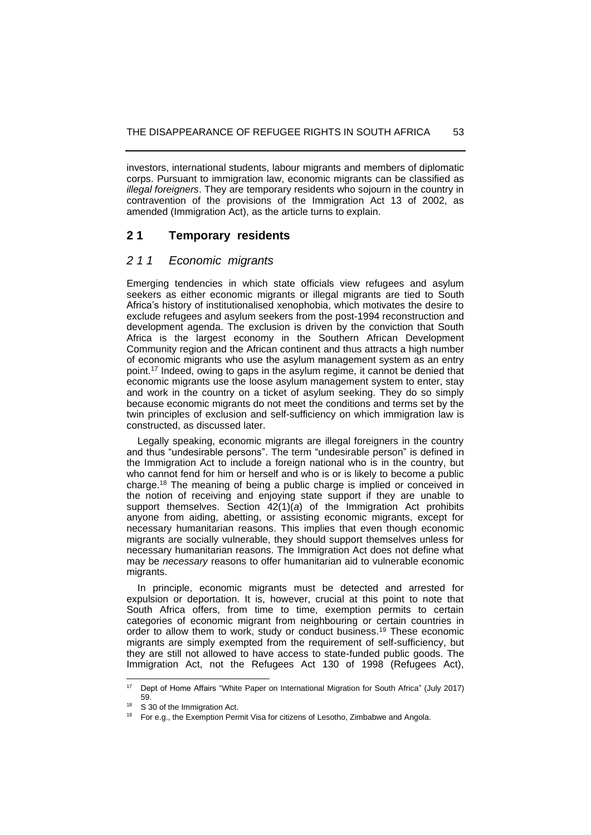investors, international students, labour migrants and members of diplomatic corps. Pursuant to immigration law, economic migrants can be classified as *illegal foreigners*. They are temporary residents who sojourn in the country in contravention of the provisions of the Immigration Act 13 of 2002, as amended (Immigration Act), as the article turns to explain.

# **2 1 Temporary residents**

### *2 1 1 Economic migrants*

Emerging tendencies in which state officials view refugees and asylum seekers as either economic migrants or illegal migrants are tied to South Africa's history of institutionalised xenophobia, which motivates the desire to exclude refugees and asylum seekers from the post-1994 reconstruction and development agenda. The exclusion is driven by the conviction that South Africa is the largest economy in the Southern African Development Community region and the African continent and thus attracts a high number of economic migrants who use the asylum management system as an entry point. <sup>17</sup> Indeed, owing to gaps in the asylum regime, it cannot be denied that economic migrants use the loose asylum management system to enter, stay and work in the country on a ticket of asylum seeking. They do so simply because economic migrants do not meet the conditions and terms set by the twin principles of exclusion and self-sufficiency on which immigration law is constructed, as discussed later.

 Legally speaking, economic migrants are illegal foreigners in the country and thus "undesirable persons". The term "undesirable person" is defined in the Immigration Act to include a foreign national who is in the country, but who cannot fend for him or herself and who is or is likely to become a public charge.<sup>18</sup> The meaning of being a public charge is implied or conceived in the notion of receiving and enjoying state support if they are unable to support themselves. Section 42(1)(*a*) of the Immigration Act prohibits anyone from aiding, abetting, or assisting economic migrants, except for necessary humanitarian reasons. This implies that even though economic migrants are socially vulnerable, they should support themselves unless for necessary humanitarian reasons. The Immigration Act does not define what may be *necessary* reasons to offer humanitarian aid to vulnerable economic migrants.

 In principle, economic migrants must be detected and arrested for expulsion or deportation. It is, however, crucial at this point to note that South Africa offers, from time to time, exemption permits to certain categories of economic migrant from neighbouring or certain countries in order to allow them to work, study or conduct business.<sup>19</sup> These economic migrants are simply exempted from the requirement of self-sufficiency, but they are still not allowed to have access to state-funded public goods. The Immigration Act, not the Refugees Act 130 of 1998 (Refugees Act),

<sup>&</sup>lt;sup>17</sup> Dept of Home Affairs "White Paper on International Migration for South Africa" (July 2017) 59.

<sup>&</sup>lt;sup>18</sup> S 30 of the Immigration Act.

 $19$  For e.g., the Exemption Permit Visa for citizens of Lesotho, Zimbabwe and Angola.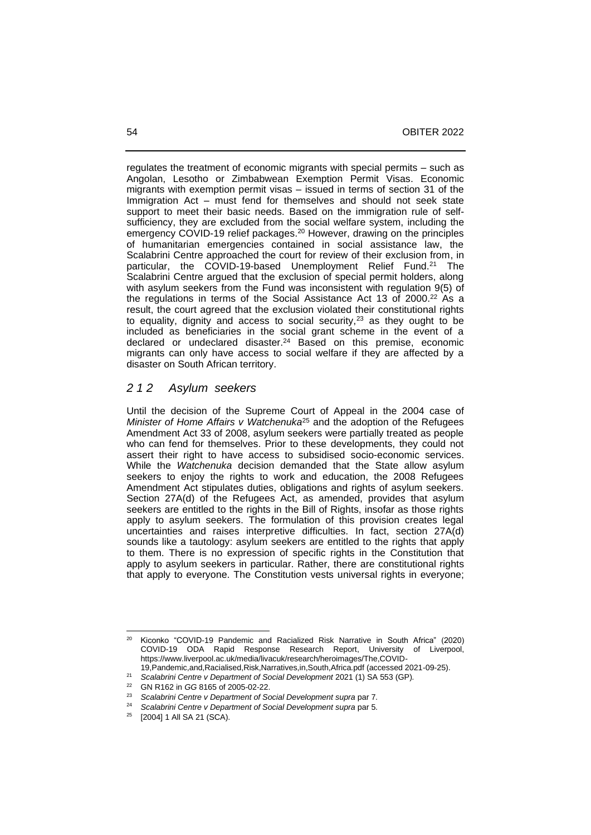regulates the treatment of economic migrants with special permits – such as Angolan, Lesotho or Zimbabwean Exemption Permit Visas. Economic migrants with exemption permit visas – issued in terms of section 31 of the Immigration Act – must fend for themselves and should not seek state support to meet their basic needs. Based on the immigration rule of selfsufficiency, they are excluded from the social welfare system, including the emergency COVID-19 relief packages. <sup>20</sup> However, drawing on the principles of humanitarian emergencies contained in social assistance law, the Scalabrini Centre approached the court for review of their exclusion from, in particular, the COVID-19-based Unemployment Relief Fund.<sup>21</sup> The Scalabrini Centre argued that the exclusion of special permit holders, along with asylum seekers from the Fund was inconsistent with regulation 9(5) of the regulations in terms of the Social Assistance Act 13 of 2000. <sup>22</sup> As a result, the court agreed that the exclusion violated their constitutional rights to equality, dignity and access to social security,<sup>23</sup> as they ought to be included as beneficiaries in the social grant scheme in the event of a declared or undeclared disaster.<sup>24</sup> Based on this premise, economic migrants can only have access to social welfare if they are affected by a disaster on South African territory.

## *2 1 2 Asylum seekers*

Until the decision of the Supreme Court of Appeal in the 2004 case of *Minister of Home Affairs v Watchenuka*<sup>25</sup> and the adoption of the Refugees Amendment Act 33 of 2008, asylum seekers were partially treated as people who can fend for themselves. Prior to these developments, they could not assert their right to have access to subsidised socio-economic services. While the *Watchenuka* decision demanded that the State allow asylum seekers to enjoy the rights to work and education, the 2008 Refugees Amendment Act stipulates duties, obligations and rights of asylum seekers. Section 27A(d) of the Refugees Act, as amended, provides that asylum seekers are entitled to the rights in the Bill of Rights, insofar as those rights apply to asylum seekers. The formulation of this provision creates legal uncertainties and raises interpretive difficulties. In fact, section 27A(d) sounds like a tautology: asylum seekers are entitled to the rights that apply to them. There is no expression of specific rights in the Constitution that apply to asylum seekers in particular. Rather, there are constitutional rights that apply to everyone. The Constitution vests universal rights in everyone;

<sup>20</sup> Kiconko "COVID-19 Pandemic and Racialized Risk Narrative in South Africa" (2020) COVID-19 ODA Rapid Response Research Report, University of Liverpool, https://www.liverpool.ac.uk/media/livacuk/research/heroimages/The,COVID-

<sup>19,</sup>Pandemic,and,Racialised,Risk,Narratives,in,South,Africa.pdf (accessed 2021-09-25).

<sup>&</sup>lt;sup>21</sup> Scalabrini Centre v Department of Social Development 2021 (1) SA 553 (GP).

<sup>22</sup> GN R162 in *GG* 8165 of 2005-02-22.

<sup>23</sup> *Scalabrini Centre v Department of Social Development supra* par 7.

<sup>&</sup>lt;sup>24</sup> *Scalabrini Centre v Department of Social Development supra par 5.*<br><sup>25</sup> **120041.1.AU SA 21.(SCA)** 

<sup>[2004] 1</sup> All SA 21 (SCA).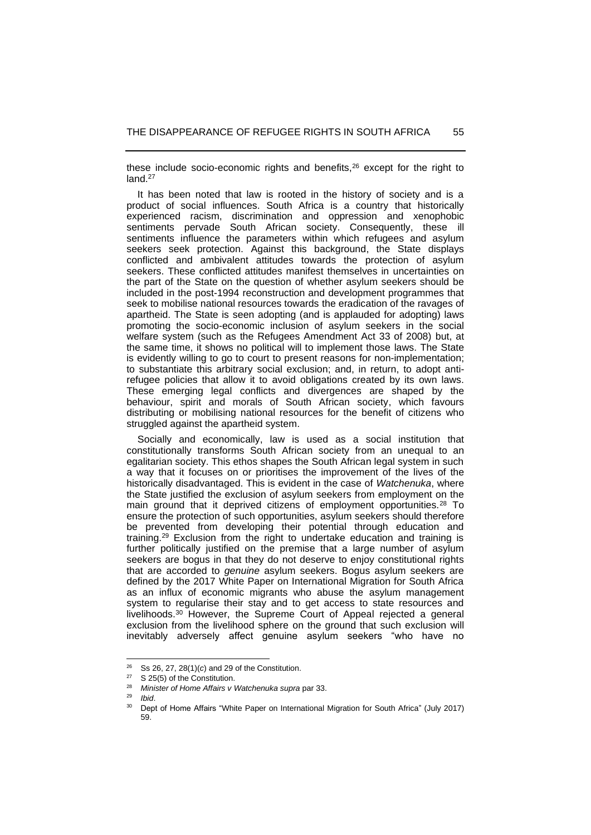these include socio-economic rights and benefits,<sup>26</sup> except for the right to land.<sup>27</sup>

 It has been noted that law is rooted in the history of society and is a product of social influences. South Africa is a country that historically experienced racism, discrimination and oppression and xenophobic sentiments pervade South African society. Consequently, these ill sentiments influence the parameters within which refugees and asylum seekers seek protection. Against this background, the State displays conflicted and ambivalent attitudes towards the protection of asylum seekers. These conflicted attitudes manifest themselves in uncertainties on the part of the State on the question of whether asylum seekers should be included in the post-1994 reconstruction and development programmes that seek to mobilise national resources towards the eradication of the ravages of apartheid. The State is seen adopting (and is applauded for adopting) laws promoting the socio-economic inclusion of asylum seekers in the social welfare system (such as the Refugees Amendment Act 33 of 2008) but, at the same time, it shows no political will to implement those laws. The State is evidently willing to go to court to present reasons for non-implementation; to substantiate this arbitrary social exclusion; and, in return, to adopt antirefugee policies that allow it to avoid obligations created by its own laws. These emerging legal conflicts and divergences are shaped by the behaviour, spirit and morals of South African society, which favours distributing or mobilising national resources for the benefit of citizens who struggled against the apartheid system.

 Socially and economically, law is used as a social institution that constitutionally transforms South African society from an unequal to an egalitarian society. This ethos shapes the South African legal system in such a way that it focuses on or prioritises the improvement of the lives of the historically disadvantaged. This is evident in the case of *Watchenuka*, where the State justified the exclusion of asylum seekers from employment on the main ground that it deprived citizens of employment opportunities.<sup>28</sup> To ensure the protection of such opportunities, asylum seekers should therefore be prevented from developing their potential through education and training.<sup>29</sup> Exclusion from the right to undertake education and training is further politically justified on the premise that a large number of asylum seekers are bogus in that they do not deserve to enjoy constitutional rights that are accorded to *genuine* asylum seekers. Bogus asylum seekers are defined by the 2017 White Paper on International Migration for South Africa as an influx of economic migrants who abuse the asylum management system to regularise their stay and to get access to state resources and livelihoods.<sup>30</sup> However, the Supreme Court of Appeal rejected a general exclusion from the livelihood sphere on the ground that such exclusion will inevitably adversely affect genuine asylum seekers "who have no

<sup>26</sup> Ss 26, 27, 28(1)(*c*) and 29 of the Constitution.

 $27$  S 25(5) of the Constitution.

<sup>28</sup> *Minister of Home Affairs v Watchenuka supra* par 33.

<sup>29</sup> *Ibid*.

<sup>&</sup>lt;sup>30</sup> Dept of Home Affairs "White Paper on International Migration for South Africa" (July 2017) 59.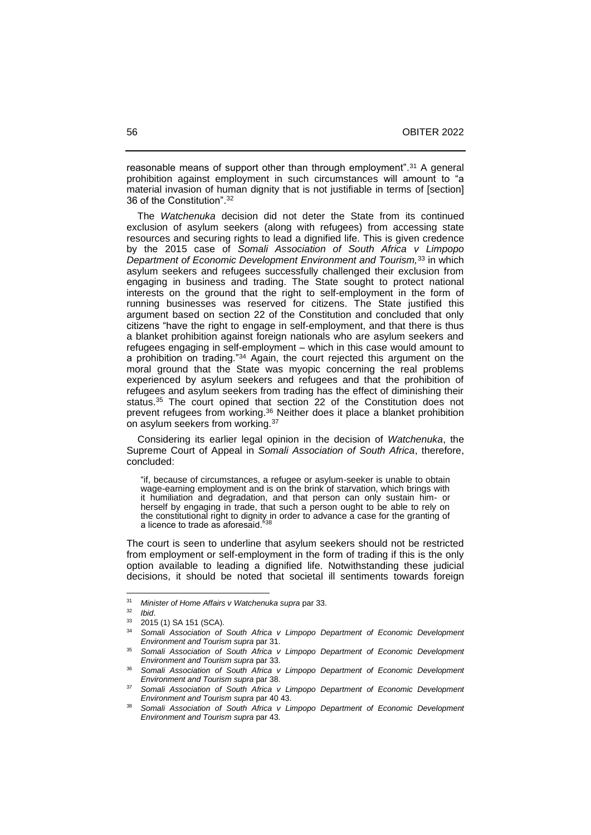reasonable means of support other than through employment".<sup>31</sup> A general prohibition against employment in such circumstances will amount to "a material invasion of human dignity that is not justifiable in terms of [section] 36 of the Constitution". 32

 The *Watchenuka* decision did not deter the State from its continued exclusion of asylum seekers (along with refugees) from accessing state resources and securing rights to lead a dignified life. This is given credence by the 2015 case of *Somali Association of South Africa v Limpopo Department of Economic Development Environment and Tourism,*<sup>33</sup> in which asylum seekers and refugees successfully challenged their exclusion from engaging in business and trading. The State sought to protect national interests on the ground that the right to self-employment in the form of running businesses was reserved for citizens. The State justified this argument based on section 22 of the Constitution and concluded that only citizens "have the right to engage in self-employment, and that there is thus a blanket prohibition against foreign nationals who are asylum seekers and refugees engaging in self-employment – which in this case would amount to a prohibition on trading."<sup>34</sup> Again, the court rejected this argument on the moral ground that the State was myopic concerning the real problems experienced by asylum seekers and refugees and that the prohibition of refugees and asylum seekers from trading has the effect of diminishing their status. <sup>35</sup> The court opined that section 22 of the Constitution does not prevent refugees from working.<sup>36</sup> Neither does it place a blanket prohibition on asylum seekers from working.<sup>37</sup>

 Considering its earlier legal opinion in the decision of *Watchenuka*, the Supreme Court of Appeal in *Somali Association of South Africa*, therefore, concluded:

"if, because of circumstances, a refugee or asylum-seeker is unable to obtain wage-earning employment and is on the brink of starvation, which brings with it humiliation and degradation, and that person can only sustain him- or herself by engaging in trade, that such a person ought to be able to rely on the constitutional right to dignity in order to advance a case for the granting of a licence to trade as aforesaid.<sup>538</sup>

The court is seen to underline that asylum seekers should not be restricted from employment or self-employment in the form of trading if this is the only option available to leading a dignified life. Notwithstanding these judicial decisions, it should be noted that societal ill sentiments towards foreign

<sup>31</sup> *Minister of Home Affairs v Watchenuka supra* par 33.

 $\frac{32}{33}$  *Ibid.* 

<sup>2015 (1)</sup> SA 151 (SCA).

<sup>34</sup> *Somali Association of South Africa v Limpopo Department of Economic Development Environment and Tourism supra* par 31.

<sup>35</sup> *Somali Association of South Africa v Limpopo Department of Economic Development Environment and Tourism supra* par 33.

<sup>36</sup> *Somali Association of South Africa v Limpopo Department of Economic Development Environment and Tourism supra* par 38.

<sup>37</sup> *Somali Association of South Africa v Limpopo Department of Economic Development Environment and Tourism supra* par 40 43.

<sup>38</sup> *Somali Association of South Africa v Limpopo Department of Economic Development Environment and Tourism supra* par 43.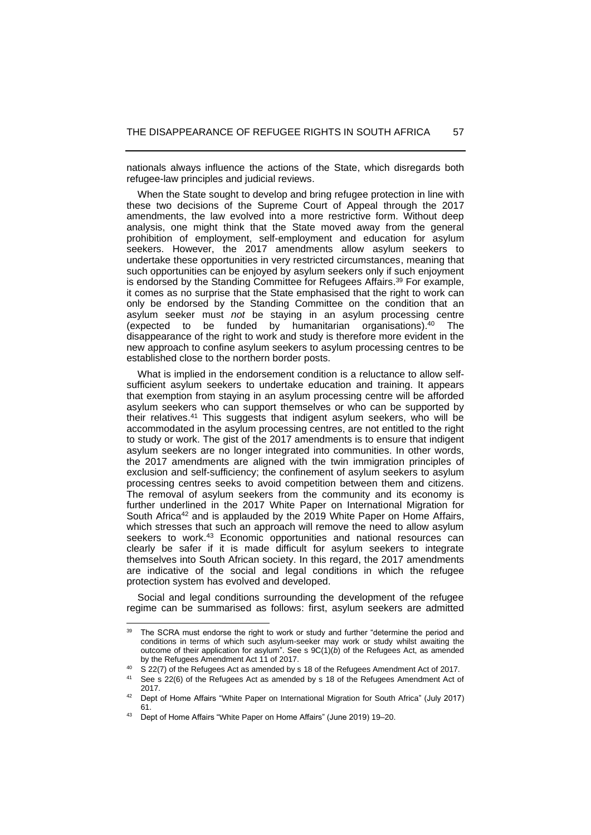nationals always influence the actions of the State, which disregards both refugee-law principles and judicial reviews.

 When the State sought to develop and bring refugee protection in line with these two decisions of the Supreme Court of Appeal through the 2017 amendments, the law evolved into a more restrictive form. Without deep analysis, one might think that the State moved away from the general prohibition of employment, self-employment and education for asylum seekers. However, the 2017 amendments allow asylum seekers to undertake these opportunities in very restricted circumstances, meaning that such opportunities can be enjoyed by asylum seekers only if such enjoyment is endorsed by the Standing Committee for Refugees Affairs. <sup>39</sup> For example, it comes as no surprise that the State emphasised that the right to work can only be endorsed by the Standing Committee on the condition that an asylum seeker must *not* be staying in an asylum processing centre (expected to be funded by humanitarian organisations).<sup>40</sup> The disappearance of the right to work and study is therefore more evident in the new approach to confine asylum seekers to asylum processing centres to be established close to the northern border posts.

 What is implied in the endorsement condition is a reluctance to allow selfsufficient asylum seekers to undertake education and training. It appears that exemption from staying in an asylum processing centre will be afforded asylum seekers who can support themselves or who can be supported by their relatives. <sup>41</sup> This suggests that indigent asylum seekers, who will be accommodated in the asylum processing centres, are not entitled to the right to study or work. The gist of the 2017 amendments is to ensure that indigent asylum seekers are no longer integrated into communities. In other words, the 2017 amendments are aligned with the twin immigration principles of exclusion and self-sufficiency; the confinement of asylum seekers to asylum processing centres seeks to avoid competition between them and citizens. The removal of asylum seekers from the community and its economy is further underlined in the 2017 White Paper on International Migration for South Africa<sup>42</sup> and is applauded by the 2019 White Paper on Home Affairs, which stresses that such an approach will remove the need to allow asylum seekers to work.<sup>43</sup> Economic opportunities and national resources can clearly be safer if it is made difficult for asylum seekers to integrate themselves into South African society. In this regard, the 2017 amendments are indicative of the social and legal conditions in which the refugee protection system has evolved and developed.

 Social and legal conditions surrounding the development of the refugee regime can be summarised as follows: first, asylum seekers are admitted

<sup>&</sup>lt;sup>39</sup> The SCRA must endorse the right to work or study and further "determine the period and conditions in terms of which such asylum-seeker may work or study whilst awaiting the outcome of their application for asylum". See s  $9C(1)(b)$  of the Refugees Act, as amended by the Refugees Amendment Act 11 of 2017.

<sup>&</sup>lt;sup>40</sup> S 22(7) of the Refugees Act as amended by s 18 of the Refugees Amendment Act of 2017.

See s 22(6) of the Refugees Act as amended by s 18 of the Refugees Amendment Act of 2017.

<sup>&</sup>lt;sup>42</sup> Dept of Home Affairs "White Paper on International Migration for South Africa" (July 2017) 61.

<sup>43</sup> Dept of Home Affairs "White Paper on Home Affairs" (June 2019) 19-20.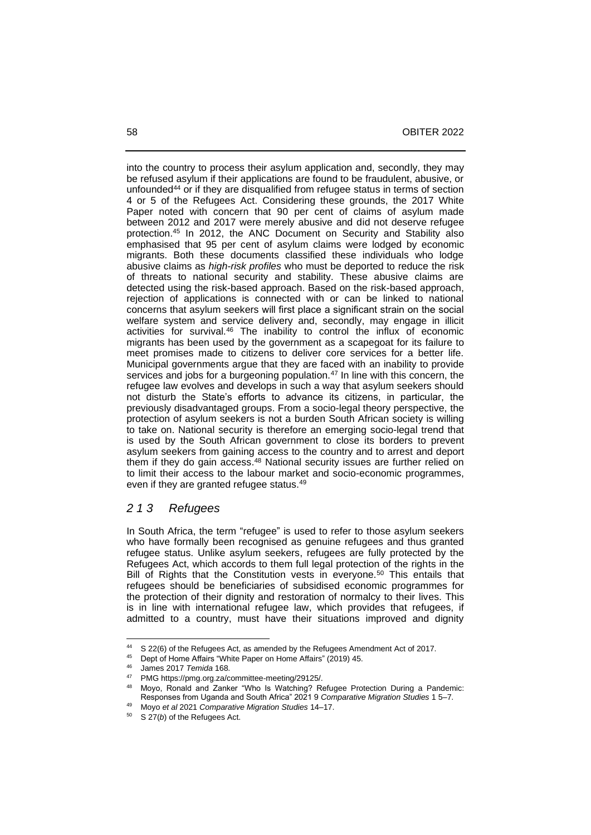into the country to process their asylum application and, secondly, they may be refused asylum if their applications are found to be fraudulent, abusive, or unfounded<sup>44</sup> or if they are disqualified from refugee status in terms of section 4 or 5 of the Refugees Act. Considering these grounds, the 2017 White Paper noted with concern that 90 per cent of claims of asylum made between 2012 and 2017 were merely abusive and did not deserve refugee protection.<sup>45</sup> In 2012, the ANC Document on Security and Stability also emphasised that 95 per cent of asylum claims were lodged by economic migrants. Both these documents classified these individuals who lodge abusive claims as *high-risk profiles* who must be deported to reduce the risk of threats to national security and stability. These abusive claims are detected using the risk-based approach. Based on the risk-based approach, rejection of applications is connected with or can be linked to national concerns that asylum seekers will first place a significant strain on the social welfare system and service delivery and, secondly, may engage in illicit activities for survival.<sup>46</sup> The inability to control the influx of economic migrants has been used by the government as a scapegoat for its failure to meet promises made to citizens to deliver core services for a better life. Municipal governments argue that they are faced with an inability to provide services and jobs for a burgeoning population.<sup>47</sup> In line with this concern, the refugee law evolves and develops in such a way that asylum seekers should not disturb the State's efforts to advance its citizens, in particular, the previously disadvantaged groups. From a socio-legal theory perspective, the protection of asylum seekers is not a burden South African society is willing to take on. National security is therefore an emerging socio-legal trend that is used by the South African government to close its borders to prevent asylum seekers from gaining access to the country and to arrest and deport them if they do gain access. <sup>48</sup> National security issues are further relied on to limit their access to the labour market and socio-economic programmes, even if they are granted refugee status.<sup>49</sup>

#### *2 1 3 Refugees*

In South Africa, the term "refugee" is used to refer to those asylum seekers who have formally been recognised as genuine refugees and thus granted refugee status. Unlike asylum seekers, refugees are fully protected by the Refugees Act, which accords to them full legal protection of the rights in the Bill of Rights that the Constitution vests in everyone.<sup>50</sup> This entails that refugees should be beneficiaries of subsidised economic programmes for the protection of their dignity and restoration of normalcy to their lives. This is in line with international refugee law, which provides that refugees, if admitted to a country, must have their situations improved and dignity

<sup>&</sup>lt;sup>44</sup> S 22(6) of the Refugees Act, as amended by the Refugees Amendment Act of 2017.

<sup>&</sup>lt;sup>45</sup> Dept of Home Affairs "White Paper on Home Affairs" (2019) 45.

<sup>46</sup> James 2017 *Temida* 168.

<sup>47</sup> PMG https://pmg.org.za/committee-meeting/29125/.

Moyo, Ronald and Zanker "Who Is Watching? Refugee Protection During a Pandemic: Responses from Uganda and South Africa" 2021 9 *Comparative Migration Studies* 1 5‒7.

<sup>49</sup> Moyo *et al* 2021 *Comparative Migration Studies* 14–17.

S 27(b) of the Refugees Act.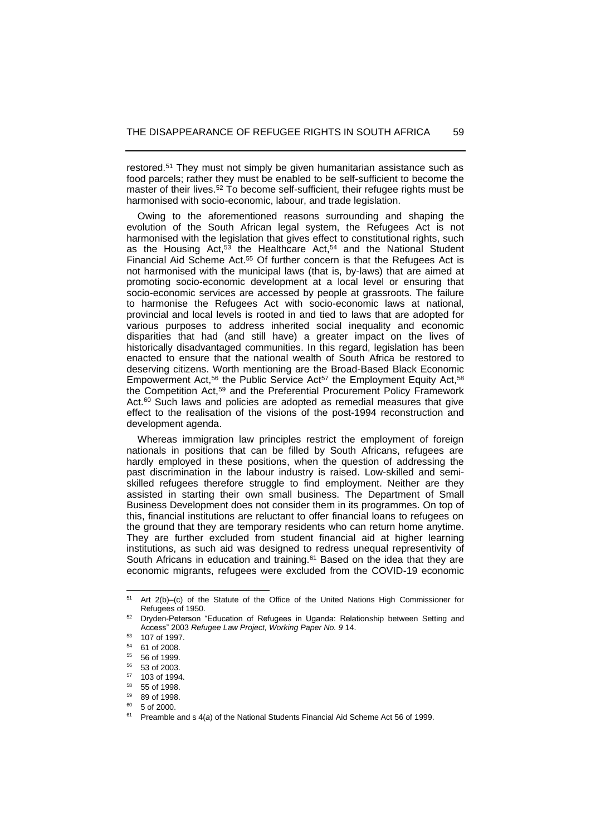restored.<sup>51</sup> They must not simply be given humanitarian assistance such as food parcels; rather they must be enabled to be self-sufficient to become the master of their lives.<sup>52</sup> To become self-sufficient, their refugee rights must be harmonised with socio-economic, labour, and trade legislation.

 Owing to the aforementioned reasons surrounding and shaping the evolution of the South African legal system, the Refugees Act is not harmonised with the legislation that gives effect to constitutional rights, such as the Housing Act, $53$  the Healthcare Act, $54$  and the National Student Financial Aid Scheme Act. <sup>55</sup> Of further concern is that the Refugees Act is not harmonised with the municipal laws (that is, by-laws) that are aimed at promoting socio-economic development at a local level or ensuring that socio-economic services are accessed by people at grassroots. The failure to harmonise the Refugees Act with socio-economic laws at national, provincial and local levels is rooted in and tied to laws that are adopted for various purposes to address inherited social inequality and economic disparities that had (and still have) a greater impact on the lives of historically disadvantaged communities. In this regard, legislation has been enacted to ensure that the national wealth of South Africa be restored to deserving citizens. Worth mentioning are the Broad-Based Black Economic Empowerment Act,<sup>56</sup> the Public Service Act<sup>57</sup> the Employment Equity Act,<sup>58</sup> the Competition Act,<sup>59</sup> and the Preferential Procurement Policy Framework Act.<sup>60</sup> Such laws and policies are adopted as remedial measures that give effect to the realisation of the visions of the post-1994 reconstruction and development agenda.

 Whereas immigration law principles restrict the employment of foreign nationals in positions that can be filled by South Africans, refugees are hardly employed in these positions, when the question of addressing the past discrimination in the labour industry is raised. Low-skilled and semiskilled refugees therefore struggle to find employment. Neither are they assisted in starting their own small business. The Department of Small Business Development does not consider them in its programmes. On top of this, financial institutions are reluctant to offer financial loans to refugees on the ground that they are temporary residents who can return home anytime. They are further excluded from student financial aid at higher learning institutions, as such aid was designed to redress unequal representivity of South Africans in education and training.<sup>61</sup> Based on the idea that they are economic migrants, refugees were excluded from the COVID-19 economic

<sup>51</sup> Art 2(b)-(c) of the Statute of the Office of the United Nations High Commissioner for Refugees of 1950.

<sup>52</sup> Dryden-Peterson "Education of Refugees in Uganda: Relationship between Setting and Access" 2003 *Refugee Law Project, Working Paper No. 9* 14.

 $^{53}$  107 of 1997.

 $^{54}$  61 of 2008.<br> $^{55}$  56 of 1000

<sup>55</sup> 56 of 1999.

<sup>56</sup> 53 of 2003.

 $^{57}$  103 of 1994.

 $58$  55 of 1998.

<sup>59</sup> 89 of 1998.

 $60, 5$  of 2000.

<sup>61</sup> Preamble and s 4(*a*) of the National Students Financial Aid Scheme Act 56 of 1999.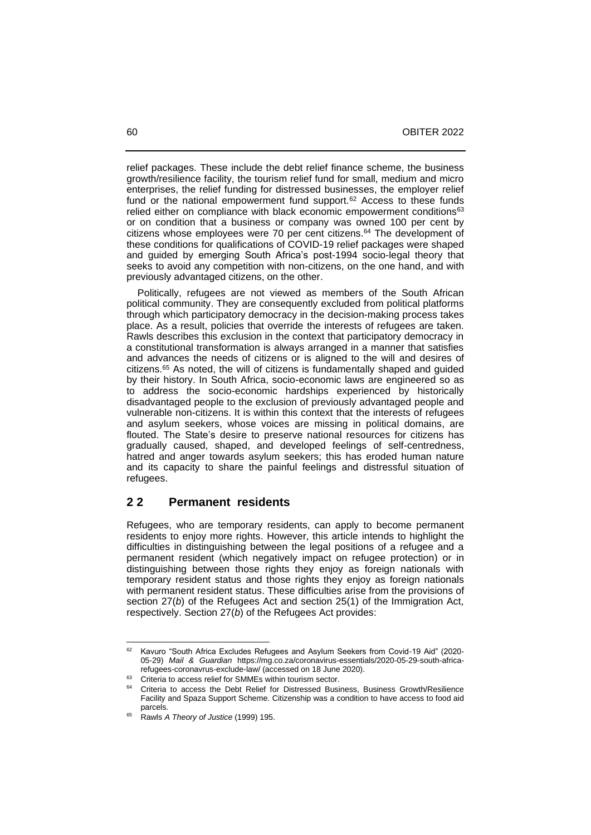relief packages. These include the debt relief finance scheme, the business growth/resilience facility, the tourism relief fund for small, medium and micro enterprises, the relief funding for distressed businesses, the employer relief fund or the national empowerment fund support.<sup>62</sup> Access to these funds relied either on compliance with black economic empowerment conditions<sup>63</sup> or on condition that a business or company was owned 100 per cent by citizens whose employees were 70 per cent citizens.<sup>64</sup> The development of these conditions for qualifications of COVID-19 relief packages were shaped and guided by emerging South Africa's post-1994 socio-legal theory that seeks to avoid any competition with non-citizens, on the one hand, and with previously advantaged citizens, on the other.

 Politically, refugees are not viewed as members of the South African political community. They are consequently excluded from political platforms through which participatory democracy in the decision-making process takes place. As a result, policies that override the interests of refugees are taken. Rawls describes this exclusion in the context that participatory democracy in a constitutional transformation is always arranged in a manner that satisfies and advances the needs of citizens or is aligned to the will and desires of citizens.<sup>65</sup> As noted, the will of citizens is fundamentally shaped and guided by their history. In South Africa, socio-economic laws are engineered so as to address the socio-economic hardships experienced by historically disadvantaged people to the exclusion of previously advantaged people and vulnerable non-citizens. It is within this context that the interests of refugees and asylum seekers, whose voices are missing in political domains, are flouted. The State's desire to preserve national resources for citizens has gradually caused, shaped, and developed feelings of self-centredness, hatred and anger towards asylum seekers; this has eroded human nature and its capacity to share the painful feelings and distressful situation of refugees.

#### **2 2 Permanent residents**

Refugees, who are temporary residents, can apply to become permanent residents to enjoy more rights. However, this article intends to highlight the difficulties in distinguishing between the legal positions of a refugee and a permanent resident (which negatively impact on refugee protection) or in distinguishing between those rights they enjoy as foreign nationals with temporary resident status and those rights they enjoy as foreign nationals with permanent resident status. These difficulties arise from the provisions of section 27(*b*) of the Refugees Act and section 25(1) of the Immigration Act, respectively. Section 27(*b*) of the Refugees Act provides:

<sup>62</sup> Kavuro "South Africa Excludes Refugees and Asylum Seekers from Covid-19 Aid" (2020- 05-29) *Mail & Guardian* https://mg.co.za/coronavirus-essentials/2020-05-29-south-africarefugees-coronavrus-exclude-law/ (accessed on 18 June 2020).

Criteria to access relief for SMMEs within tourism sector.

Criteria to access the Debt Relief for Distressed Business, Business Growth/Resilience Facility and Spaza Support Scheme. Citizenship was a condition to have access to food aid parcels.

<sup>65</sup> Rawls *A Theory of Justice* (1999) 195.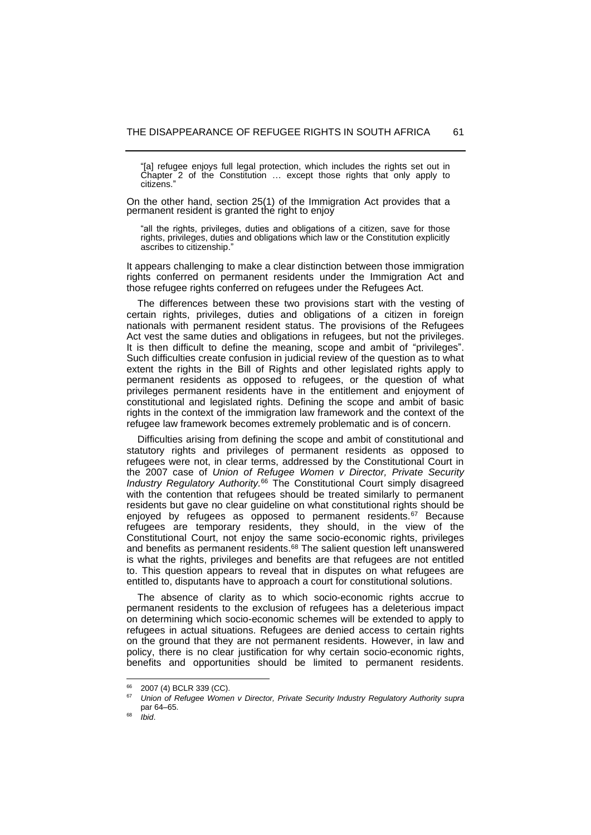[a] refugee enjoys full legal protection, which includes the rights set out in Chapter 2 of the Constitution ... except those rights that only apply to citizens."

On the other hand, section 25(1) of the Immigration Act provides that a permanent resident is granted the right to enjoy

"all the rights, privileges, duties and obligations of a citizen, save for those rights, privileges, duties and obligations which law or the Constitution explicitly ascribes to citizenship."

It appears challenging to make a clear distinction between those immigration rights conferred on permanent residents under the Immigration Act and those refugee rights conferred on refugees under the Refugees Act.

 The differences between these two provisions start with the vesting of certain rights, privileges, duties and obligations of a citizen in foreign nationals with permanent resident status. The provisions of the Refugees Act vest the same duties and obligations in refugees, but not the privileges. It is then difficult to define the meaning, scope and ambit of "privileges". Such difficulties create confusion in judicial review of the question as to what extent the rights in the Bill of Rights and other legislated rights apply to permanent residents as opposed to refugees, or the question of what privileges permanent residents have in the entitlement and enjoyment of constitutional and legislated rights. Defining the scope and ambit of basic rights in the context of the immigration law framework and the context of the refugee law framework becomes extremely problematic and is of concern.

 Difficulties arising from defining the scope and ambit of constitutional and statutory rights and privileges of permanent residents as opposed to refugees were not, in clear terms, addressed by the Constitutional Court in the 2007 case of *Union of Refugee Women v Director, Private Security Industry Regulatory Authority.*<sup>66</sup> The Constitutional Court simply disagreed with the contention that refugees should be treated similarly to permanent residents but gave no clear guideline on what constitutional rights should be enjoyed by refugees as opposed to permanent residents.<sup>67</sup> Because refugees are temporary residents, they should, in the view of the Constitutional Court, not enjoy the same socio-economic rights, privileges and benefits as permanent residents. <sup>68</sup> The salient question left unanswered is what the rights, privileges and benefits are that refugees are not entitled to. This question appears to reveal that in disputes on what refugees are entitled to, disputants have to approach a court for constitutional solutions.

 The absence of clarity as to which socio-economic rights accrue to permanent residents to the exclusion of refugees has a deleterious impact on determining which socio-economic schemes will be extended to apply to refugees in actual situations. Refugees are denied access to certain rights on the ground that they are not permanent residents. However, in law and policy, there is no clear justification for why certain socio-economic rights, benefits and opportunities should be limited to permanent residents.

<sup>&</sup>lt;sup>66</sup> 2007 (4) BCLR 339 (CC).

<sup>67</sup> *Union of Refugee Women v Director, Private Security Industry Regulatory Authority supra* par 64-65.

<sup>68</sup> *Ibid*.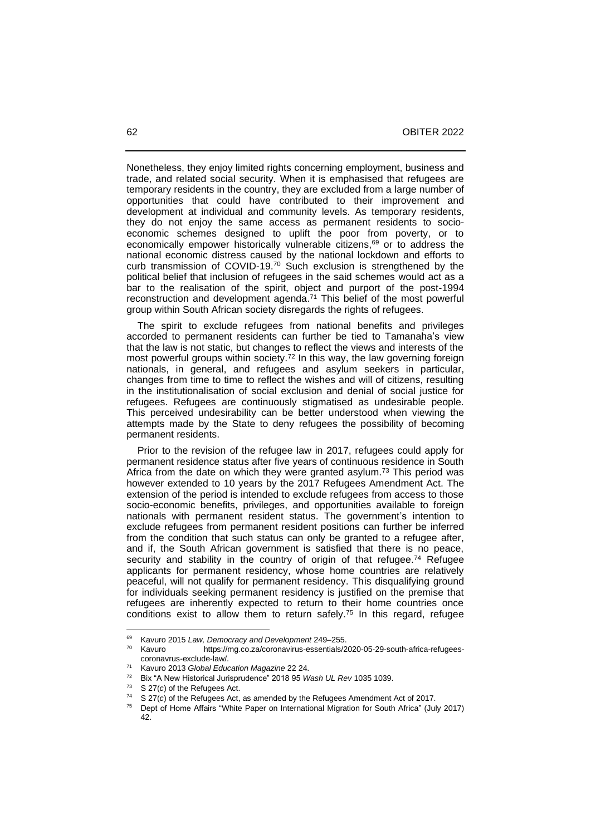Nonetheless, they enjoy limited rights concerning employment, business and trade, and related social security. When it is emphasised that refugees are temporary residents in the country, they are excluded from a large number of opportunities that could have contributed to their improvement and development at individual and community levels. As temporary residents, they do not enjoy the same access as permanent residents to socioeconomic schemes designed to uplift the poor from poverty, or to economically empower historically vulnerable citizens,<sup>69</sup> or to address the national economic distress caused by the national lockdown and efforts to curb transmission of COVID-19.<sup>70</sup> Such exclusion is strengthened by the political belief that inclusion of refugees in the said schemes would act as a bar to the realisation of the spirit, object and purport of the post-1994 reconstruction and development agenda. <sup>71</sup> This belief of the most powerful group within South African society disregards the rights of refugees.

 The spirit to exclude refugees from national benefits and privileges accorded to permanent residents can further be tied to Tamanaha's view that the law is not static, but changes to reflect the views and interests of the most powerful groups within society.<sup>72</sup> In this way, the law governing foreign nationals, in general, and refugees and asylum seekers in particular, changes from time to time to reflect the wishes and will of citizens, resulting in the institutionalisation of social exclusion and denial of social justice for refugees. Refugees are continuously stigmatised as undesirable people. This perceived undesirability can be better understood when viewing the attempts made by the State to deny refugees the possibility of becoming permanent residents.

 Prior to the revision of the refugee law in 2017, refugees could apply for permanent residence status after five years of continuous residence in South Africa from the date on which they were granted asylum.<sup>73</sup> This period was however extended to 10 years by the 2017 Refugees Amendment Act. The extension of the period is intended to exclude refugees from access to those socio-economic benefits, privileges, and opportunities available to foreign nationals with permanent resident status. The government's intention to exclude refugees from permanent resident positions can further be inferred from the condition that such status can only be granted to a refugee after, and if, the South African government is satisfied that there is no peace, security and stability in the country of origin of that refugee.<sup>74</sup> Refugee applicants for permanent residency, whose home countries are relatively peaceful, will not qualify for permanent residency. This disqualifying ground for individuals seeking permanent residency is justified on the premise that refugees are inherently expected to return to their home countries once conditions exist to allow them to return safely.<sup>75</sup> In this regard, refugee

<sup>&</sup>lt;sup>69</sup> Kavuro 2015 *Law, Democracy and Development* 249–255.<br><sup>70</sup> Kavuro **https://mg.co.za/coronavirus-essentials/2** 

https://mg.co.za/coronavirus-essentials/2020-05-29-south-africa-refugeescoronavrus-exclude-law/.

<sup>71</sup> Kavuro 2013 *Global Education Magazine* 22 24.

<sup>72</sup> Bix "A New Historical Jurisprudence" 2018 95 *Wash UL Rev* 1035 1039.

 $73$  S 27(*c*) of the Refugees Act.<br> $74$  S 27(*c*) of the Refugees Act

S 27(*c*) of the Refugees Act, as amended by the Refugees Amendment Act of 2017.

<sup>75</sup> Dept of Home Affairs "White Paper on International Migration for South Africa" (July 2017) 42.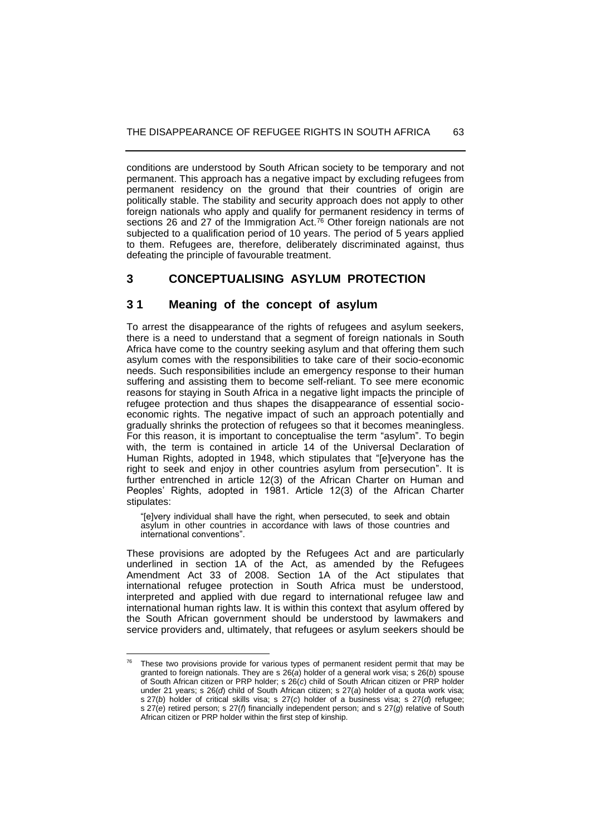conditions are understood by South African society to be temporary and not permanent. This approach has a negative impact by excluding refugees from permanent residency on the ground that their countries of origin are politically stable. The stability and security approach does not apply to other foreign nationals who apply and qualify for permanent residency in terms of sections 26 and 27 of the Immigration Act.<sup>76</sup> Other foreign nationals are not subjected to a qualification period of 10 years. The period of 5 years applied to them. Refugees are, therefore, deliberately discriminated against, thus defeating the principle of favourable treatment.

## **3 CONCEPTUALISING ASYLUM PROTECTION**

#### **3 1 Meaning of the concept of asylum**

To arrest the disappearance of the rights of refugees and asylum seekers, there is a need to understand that a segment of foreign nationals in South Africa have come to the country seeking asylum and that offering them such asylum comes with the responsibilities to take care of their socio-economic needs. Such responsibilities include an emergency response to their human suffering and assisting them to become self-reliant. To see mere economic reasons for staying in South Africa in a negative light impacts the principle of refugee protection and thus shapes the disappearance of essential socioeconomic rights. The negative impact of such an approach potentially and gradually shrinks the protection of refugees so that it becomes meaningless. For this reason, it is important to conceptualise the term "asylum". To begin with, the term is contained in article 14 of the Universal Declaration of Human Rights, adopted in 1948, which stipulates that "[e]veryone has the right to seek and enjoy in other countries asylum from persecution". It is further entrenched in article 12(3) of the African Charter on Human and Peoples' Rights, adopted in 1981. Article 12(3) of the African Charter stipulates:

"[e]very individual shall have the right, when persecuted, to seek and obtain asylum in other countries in accordance with laws of those countries and international conventions".

These provisions are adopted by the Refugees Act and are particularly underlined in section 1A of the Act, as amended by the Refugees Amendment Act 33 of 2008. Section 1A of the Act stipulates that international refugee protection in South Africa must be understood, interpreted and applied with due regard to international refugee law and international human rights law. It is within this context that asylum offered by the South African government should be understood by lawmakers and service providers and, ultimately, that refugees or asylum seekers should be

These two provisions provide for various types of permanent resident permit that may be granted to foreign nationals. They are s 26(*a*) holder of a general work visa; s 26(*b*) spouse of South African citizen or PRP holder; s 26(*c*) child of South African citizen or PRP holder under 21 years; s 26(*d*) child of South African citizen; s 27(*a*) holder of a quota work visa; s 27(*b*) holder of critical skills visa; s 27(*c*) holder of a business visa; s 27(*d*) refugee; s 27(*e*) retired person; s 27(*f*) financially independent person; and s 27(*g*) relative of South African citizen or PRP holder within the first step of kinship.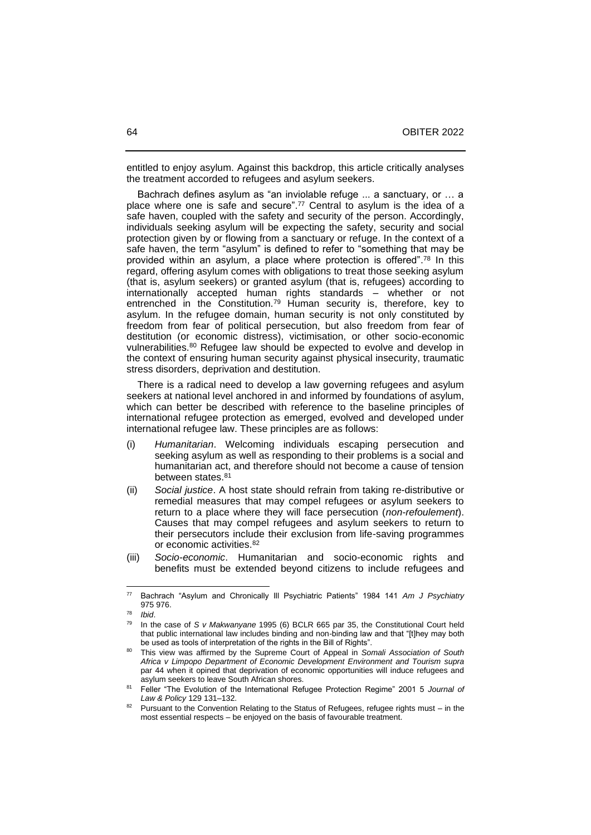entitled to enjoy asylum. Against this backdrop, this article critically analyses the treatment accorded to refugees and asylum seekers.

 Bachrach defines asylum as "an inviolable refuge ... a sanctuary, or … a place where one is safe and secure". <sup>77</sup> Central to asylum is the idea of a safe haven, coupled with the safety and security of the person. Accordingly, individuals seeking asylum will be expecting the safety, security and social protection given by or flowing from a sanctuary or refuge. In the context of a safe haven, the term "asylum" is defined to refer to "something that may be provided within an asylum, a place where protection is offered". <sup>78</sup> In this regard, offering asylum comes with obligations to treat those seeking asylum (that is, asylum seekers) or granted asylum (that is, refugees) according to internationally accepted human rights standards – whether or not entrenched in the Constitution.<sup>79</sup> Human security is, therefore, key to asylum. In the refugee domain, human security is not only constituted by freedom from fear of political persecution, but also freedom from fear of destitution (or economic distress), victimisation, or other socio-economic vulnerabilities.<sup>80</sup> Refugee law should be expected to evolve and develop in the context of ensuring human security against physical insecurity, traumatic stress disorders, deprivation and destitution.

 There is a radical need to develop a law governing refugees and asylum seekers at national level anchored in and informed by foundations of asylum, which can better be described with reference to the baseline principles of international refugee protection as emerged, evolved and developed under international refugee law. These principles are as follows:

- (i) *Humanitarian*. Welcoming individuals escaping persecution and seeking asylum as well as responding to their problems is a social and humanitarian act, and therefore should not become a cause of tension between states.<sup>81</sup>
- (ii) *Social justice*. A host state should refrain from taking re-distributive or remedial measures that may compel refugees or asylum seekers to return to a place where they will face persecution (*non-refoulement*). Causes that may compel refugees and asylum seekers to return to their persecutors include their exclusion from life-saving programmes or economic activities. 82
- (iii) *Socio-economic*. Humanitarian and socio-economic rights and benefits must be extended beyond citizens to include refugees and

<sup>77</sup> Bachrach "Asylum and Chronically Ill Psychiatric Patients" 1984 141 *Am J Psychiatry* 975 976.

 $78$  *Ibid.*<br> $79$  *In th* 

<sup>79</sup> In the case of *S v Makwanyane* 1995 (6) BCLR 665 par 35, the Constitutional Court held that public international law includes binding and non-binding law and that "[t]hey may both be used as tools of interpretation of the rights in the Bill of Rights".

<sup>80</sup> This view was affirmed by the Supreme Court of Appeal in *Somali Association of South Africa v Limpopo Department of Economic Development Environment and Tourism supra* par 44 when it opined that deprivation of economic opportunities will induce refugees and asylum seekers to leave South African shores.

<sup>81</sup> Feller "The Evolution of the International Refugee Protection Regime" 2001 5 *Journal of*  Law & Policy 129 131-132.

Pursuant to the Convention Relating to the Status of Refugees, refugee rights must – in the most essential respects – be enjoyed on the basis of favourable treatment.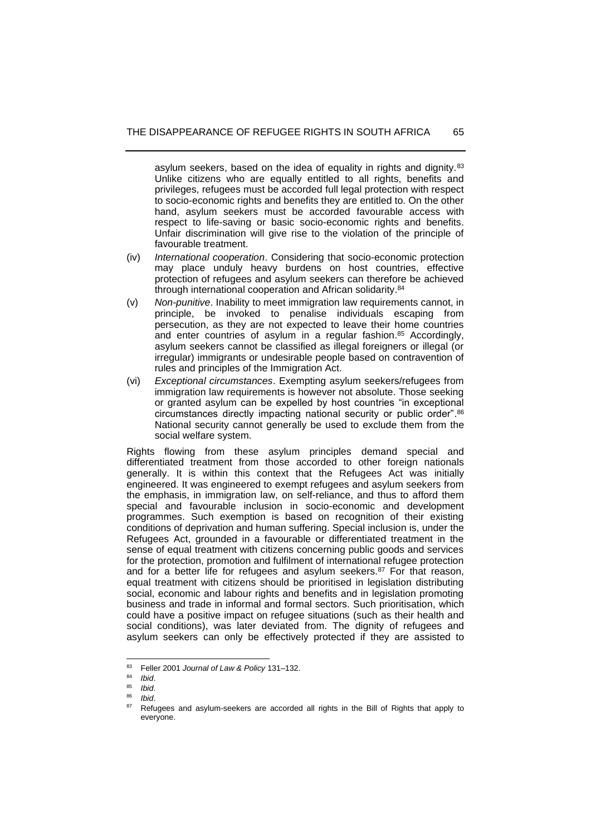asylum seekers, based on the idea of equality in rights and dignity.<sup>83</sup> Unlike citizens who are equally entitled to all rights, benefits and privileges, refugees must be accorded full legal protection with respect to socio-economic rights and benefits they are entitled to. On the other hand, asylum seekers must be accorded favourable access with respect to life-saving or basic socio-economic rights and benefits. Unfair discrimination will give rise to the violation of the principle of favourable treatment.

- (iv) *International cooperation*. Considering that socio-economic protection may place unduly heavy burdens on host countries, effective protection of refugees and asylum seekers can therefore be achieved through international cooperation and African solidarity.<sup>84</sup>
- (v) *Non-punitive*. Inability to meet immigration law requirements cannot, in principle, be invoked to penalise individuals escaping from persecution, as they are not expected to leave their home countries and enter countries of asylum in a regular fashion. <sup>85</sup> Accordingly, asylum seekers cannot be classified as illegal foreigners or illegal (or irregular) immigrants or undesirable people based on contravention of rules and principles of the Immigration Act.
- (vi) *Exceptional circumstances*. Exempting asylum seekers/refugees from immigration law requirements is however not absolute. Those seeking or granted asylum can be expelled by host countries "in exceptional circumstances directly impacting national security or public order". 86 National security cannot generally be used to exclude them from the social welfare system.

Rights flowing from these asylum principles demand special and differentiated treatment from those accorded to other foreign nationals generally. It is within this context that the Refugees Act was initially engineered. It was engineered to exempt refugees and asylum seekers from the emphasis, in immigration law, on self-reliance, and thus to afford them special and favourable inclusion in socio-economic and development programmes. Such exemption is based on recognition of their existing conditions of deprivation and human suffering. Special inclusion is, under the Refugees Act, grounded in a favourable or differentiated treatment in the sense of equal treatment with citizens concerning public goods and services for the protection, promotion and fulfilment of international refugee protection and for a better life for refugees and asylum seekers.<sup>87</sup> For that reason, equal treatment with citizens should be prioritised in legislation distributing social, economic and labour rights and benefits and in legislation promoting business and trade in informal and formal sectors. Such prioritisation, which could have a positive impact on refugee situations (such as their health and social conditions), was later deviated from. The dignity of refugees and asylum seekers can only be effectively protected if they are assisted to

<sup>&</sup>lt;sup>83</sup> Feller 2001 *Journal of Law & Policy* 131-132.

<sup>84</sup> *Ibid*.

<sup>85</sup> *Ibid*.

<sup>86</sup> *Ibid*.

<sup>&</sup>lt;sup>87</sup> Refugees and asylum-seekers are accorded all rights in the Bill of Rights that apply to everyone.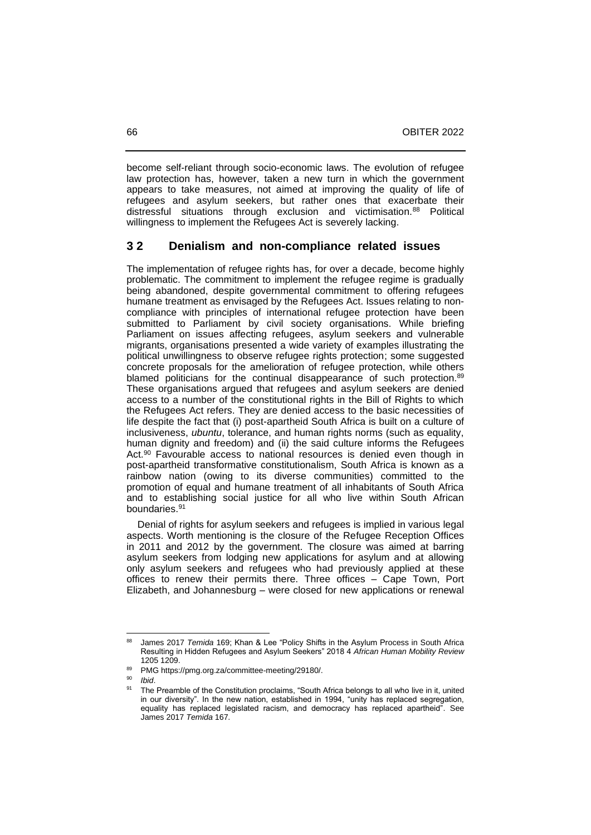become self-reliant through socio-economic laws. The evolution of refugee law protection has, however, taken a new turn in which the government appears to take measures, not aimed at improving the quality of life of refugees and asylum seekers, but rather ones that exacerbate their distressful situations through exclusion and victimisation.<sup>88</sup> Political willingness to implement the Refugees Act is severely lacking.

### **3 2 Denialism and non-compliance related issues**

The implementation of refugee rights has, for over a decade, become highly problematic. The commitment to implement the refugee regime is gradually being abandoned, despite governmental commitment to offering refugees humane treatment as envisaged by the Refugees Act. Issues relating to noncompliance with principles of international refugee protection have been submitted to Parliament by civil society organisations. While briefing Parliament on issues affecting refugees, asylum seekers and vulnerable migrants, organisations presented a wide variety of examples illustrating the political unwillingness to observe refugee rights protection; some suggested concrete proposals for the amelioration of refugee protection, while others blamed politicians for the continual disappearance of such protection.<sup>89</sup> These organisations argued that refugees and asylum seekers are denied access to a number of the constitutional rights in the Bill of Rights to which the Refugees Act refers. They are denied access to the basic necessities of life despite the fact that (i) post-apartheid South Africa is built on a culture of inclusiveness, *ubuntu*, tolerance, and human rights norms (such as equality, human dignity and freedom) and (ii) the said culture informs the Refugees Act.<sup>90</sup> Favourable access to national resources is denied even though in post-apartheid transformative constitutionalism, South Africa is known as a rainbow nation (owing to its diverse communities) committed to the promotion of equal and humane treatment of all inhabitants of South Africa and to establishing social justice for all who live within South African boundaries.<sup>91</sup>

 Denial of rights for asylum seekers and refugees is implied in various legal aspects. Worth mentioning is the closure of the Refugee Reception Offices in 2011 and 2012 by the government. The closure was aimed at barring asylum seekers from lodging new applications for asylum and at allowing only asylum seekers and refugees who had previously applied at these offices to renew their permits there. Three offices – Cape Town, Port Elizabeth, and Johannesburg – were closed for new applications or renewal

<sup>88</sup> James 2017 *Temida* 169; Khan & Lee "Policy Shifts in the Asylum Process in South Africa Resulting in Hidden Refugees and Asylum Seekers" 2018 4 *African Human Mobility Review* 1205 1209.

PMG https://pmg.org.za/committee-meeting/29180/.

 $^{90}$  *Ibid.* 

The Preamble of the Constitution proclaims, "South Africa belongs to all who live in it, united in our diversity". In the new nation, established in 1994, "unity has replaced segregation, equality has replaced legislated racism, and democracy has replaced apartheid". See James 2017 *Temida* 167.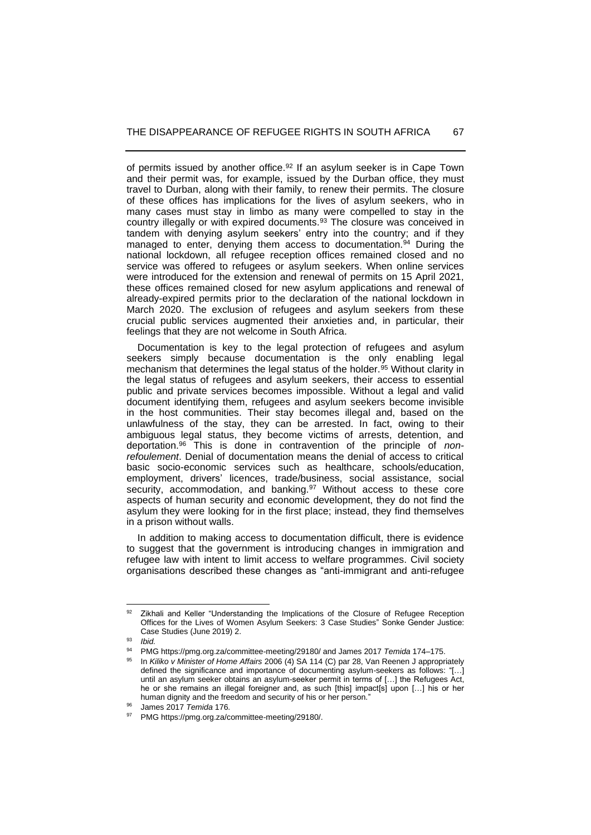of permits issued by another office.<sup>92</sup> If an asylum seeker is in Cape Town and their permit was, for example, issued by the Durban office, they must travel to Durban, along with their family, to renew their permits. The closure of these offices has implications for the lives of asylum seekers, who in many cases must stay in limbo as many were compelled to stay in the country illegally or with expired documents.<sup>93</sup> The closure was conceived in tandem with denying asylum seekers' entry into the country; and if they managed to enter, denying them access to documentation.<sup>94</sup> During the national lockdown, all refugee reception offices remained closed and no service was offered to refugees or asylum seekers. When online services were introduced for the extension and renewal of permits on 15 April 2021, these offices remained closed for new asylum applications and renewal of already-expired permits prior to the declaration of the national lockdown in March 2020. The exclusion of refugees and asylum seekers from these crucial public services augmented their anxieties and, in particular, their feelings that they are not welcome in South Africa.

 Documentation is key to the legal protection of refugees and asylum seekers simply because documentation is the only enabling legal mechanism that determines the legal status of the holder.<sup>95</sup> Without clarity in the legal status of refugees and asylum seekers, their access to essential public and private services becomes impossible. Without a legal and valid document identifying them, refugees and asylum seekers become invisible in the host communities. Their stay becomes illegal and, based on the unlawfulness of the stay, they can be arrested. In fact, owing to their ambiguous legal status, they become victims of arrests, detention, and deportation.<sup>96</sup> This is done in contravention of the principle of *nonrefoulement*. Denial of documentation means the denial of access to critical basic socio-economic services such as healthcare, schools/education, employment, drivers' licences, trade/business, social assistance, social security, accommodation, and banking.<sup>97</sup> Without access to these core aspects of human security and economic development, they do not find the asylum they were looking for in the first place; instead, they find themselves in a prison without walls.

 In addition to making access to documentation difficult, there is evidence to suggest that the government is introducing changes in immigration and refugee law with intent to limit access to welfare programmes. Civil society organisations described these changes as "anti-immigrant and anti-refugee

<sup>92</sup> Zikhali and Keller "Understanding the Implications of the Closure of Refugee Reception Offices for the Lives of Women Asylum Seekers: 3 Case Studies" Sonke Gender Justice: Case Studies (June 2019) 2.

<sup>93</sup> *Ibid.*

<sup>&</sup>lt;sup>94</sup> PMG https://pmg.org.za/committee-meeting/29180/ and James 2017 *Temida* 174–175.

<sup>95</sup> In *Kiliko v Minister of Home Affairs* 2006 (4) SA 114 (C) par 28, Van Reenen J appropriately defined the significance and importance of documenting asylum-seekers as follows: "[…] until an asylum seeker obtains an asylum-seeker permit in terms of […] the Refugees Act, he or she remains an illegal foreigner and, as such [this] impact[s] upon […] his or her human dignity and the freedom and security of his or her person."

<sup>96</sup> James 2017 *Temida* 176.

PMG https://pmg.org.za/committee-meeting/29180/.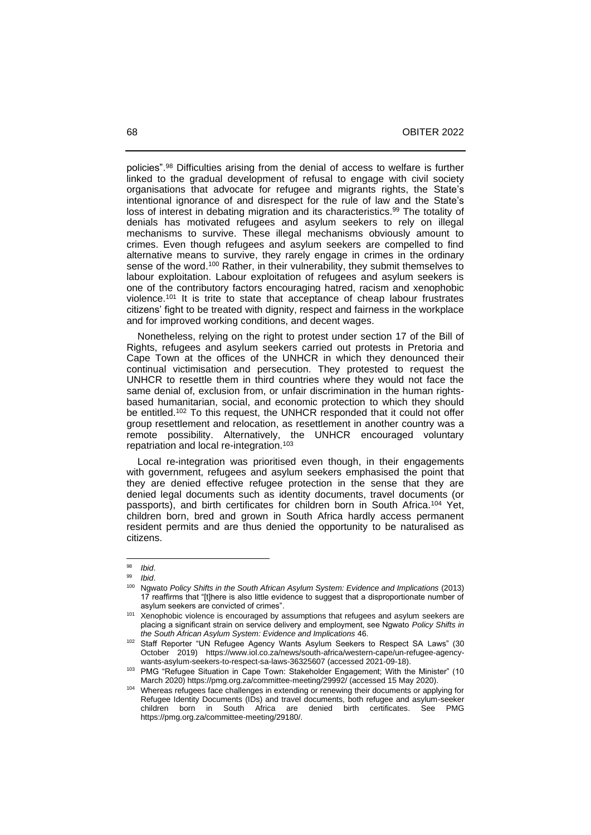policies". <sup>98</sup> Difficulties arising from the denial of access to welfare is further linked to the gradual development of refusal to engage with civil society organisations that advocate for refugee and migrants rights, the State's intentional ignorance of and disrespect for the rule of law and the State's loss of interest in debating migration and its characteristics.<sup>99</sup> The totality of denials has motivated refugees and asylum seekers to rely on illegal mechanisms to survive. These illegal mechanisms obviously amount to crimes. Even though refugees and asylum seekers are compelled to find alternative means to survive, they rarely engage in crimes in the ordinary sense of the word.<sup>100</sup> Rather, in their vulnerability, they submit themselves to labour exploitation. Labour exploitation of refugees and asylum seekers is one of the contributory factors encouraging hatred, racism and xenophobic violence.<sup>101</sup> It is trite to state that acceptance of cheap labour frustrates citizens' fight to be treated with dignity, respect and fairness in the workplace and for improved working conditions, and decent wages.

 Nonetheless, relying on the right to protest under section 17 of the Bill of Rights, refugees and asylum seekers carried out protests in Pretoria and Cape Town at the offices of the UNHCR in which they denounced their continual victimisation and persecution. They protested to request the UNHCR to resettle them in third countries where they would not face the same denial of, exclusion from, or unfair discrimination in the human rightsbased humanitarian, social, and economic protection to which they should be entitled. <sup>102</sup> To this request, the UNHCR responded that it could not offer group resettlement and relocation, as resettlement in another country was a remote possibility. Alternatively, the UNHCR encouraged voluntary repatriation and local re-integration.<sup>103</sup>

 Local re-integration was prioritised even though, in their engagements with government, refugees and asylum seekers emphasised the point that they are denied effective refugee protection in the sense that they are denied legal documents such as identity documents, travel documents (or passports), and birth certificates for children born in South Africa.<sup>104</sup> Yet, children born, bred and grown in South Africa hardly access permanent resident permits and are thus denied the opportunity to be naturalised as citizens.

<sup>98</sup> *Ibid.* 

<sup>99</sup> *Ibid*.

<sup>100</sup> Ngwato *Policy Shifts in the South African Asylum System: Evidence and Implications* (2013) 17 reaffirms that "[t]here is also little evidence to suggest that a disproportionate number of asylum seekers are convicted of crimes".

 $101$  Xenophobic violence is encouraged by assumptions that refugees and asylum seekers are placing a significant strain on service delivery and employment, see Ngwato *Policy Shifts in the South African Asylum System: Evidence and Implications* 46.

<sup>&</sup>lt;sup>102</sup> Staff Reporter "UN Refugee Agency Wants Asylum Seekers to Respect SA Laws" (30 October 2019) https://www.iol.co.za/news/south-africa/western-cape/un-refugee-agencywants-asylum-seekers-to-respect-sa-laws-36325607 (accessed 2021-09-18).

<sup>&</sup>lt;sup>103</sup> PMG "Refugee Situation in Cape Town: Stakeholder Engagement; With the Minister" (10 March 2020) https://pmg.org.za/committee-meeting/29992/ (accessed 15 May 2020).

Whereas refugees face challenges in extending or renewing their documents or applying for Refugee Identity Documents (IDs) and travel documents, both refugee and asylum-seeker children born in South Africa are denied birth certificates. See PMG https://pmg.org.za/committee-meeting/29180/.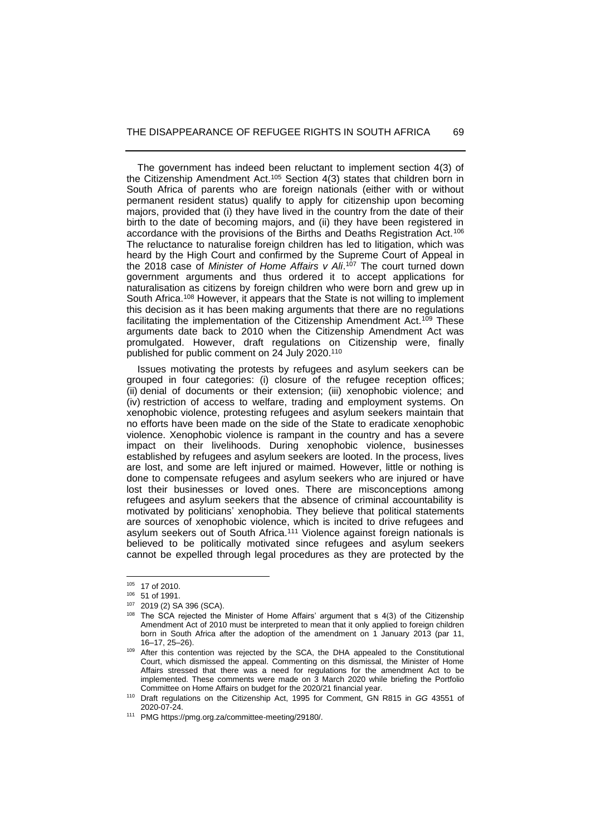The government has indeed been reluctant to implement section 4(3) of the Citizenship Amendment Act.<sup>105</sup> Section 4(3) states that children born in South Africa of parents who are foreign nationals (either with or without permanent resident status) qualify to apply for citizenship upon becoming majors, provided that (i) they have lived in the country from the date of their birth to the date of becoming majors, and (ii) they have been registered in accordance with the provisions of the Births and Deaths Registration Act.<sup>106</sup> The reluctance to naturalise foreign children has led to litigation, which was heard by the High Court and confirmed by the Supreme Court of Appeal in the 2018 case of *Minister of Home Affairs v Ali*. <sup>107</sup> The court turned down government arguments and thus ordered it to accept applications for naturalisation as citizens by foreign children who were born and grew up in South Africa.<sup>108</sup> However, it appears that the State is not willing to implement this decision as it has been making arguments that there are no regulations facilitating the implementation of the Citizenship Amendment Act.<sup>109</sup> These arguments date back to 2010 when the Citizenship Amendment Act was promulgated. However, draft regulations on Citizenship were, finally published for public comment on 24 July 2020.<sup>110</sup>

 Issues motivating the protests by refugees and asylum seekers can be grouped in four categories: (i) closure of the refugee reception offices; (ii) denial of documents or their extension; (iii) xenophobic violence; and (iv) restriction of access to welfare, trading and employment systems. On xenophobic violence, protesting refugees and asylum seekers maintain that no efforts have been made on the side of the State to eradicate xenophobic violence. Xenophobic violence is rampant in the country and has a severe impact on their livelihoods. During xenophobic violence, businesses established by refugees and asylum seekers are looted. In the process, lives are lost, and some are left injured or maimed. However, little or nothing is done to compensate refugees and asylum seekers who are injured or have lost their businesses or loved ones. There are misconceptions among refugees and asylum seekers that the absence of criminal accountability is motivated by politicians' xenophobia. They believe that political statements are sources of xenophobic violence, which is incited to drive refugees and asylum seekers out of South Africa.<sup>111</sup> Violence against foreign nationals is believed to be politically motivated since refugees and asylum seekers cannot be expelled through legal procedures as they are protected by the

<sup>105</sup> 17 of 2010.

<sup>106</sup> 51 of 1991.

<sup>107</sup> 2019 (2) SA 396 (SCA).

<sup>&</sup>lt;sup>108</sup> The SCA rejected the Minister of Home Affairs' argument that s 4(3) of the Citizenship Amendment Act of 2010 must be interpreted to mean that it only applied to foreign children born in South Africa after the adoption of the amendment on 1 January 2013 (par 11, 16‒17, 25‒26).

<sup>109</sup> After this contention was rejected by the SCA, the DHA appealed to the Constitutional Court, which dismissed the appeal. Commenting on this dismissal, the Minister of Home Affairs stressed that there was a need for regulations for the amendment Act to be implemented. These comments were made on 3 March 2020 while briefing the Portfolio Committee on Home Affairs on budget for the 2020/21 financial year.

<sup>110</sup> Draft regulations on the Citizenship Act, 1995 for Comment, GN R815 in *GG* 43551 of 2020-07-24.

<sup>111</sup> PMG https://pmg.org.za/committee-meeting/29180/.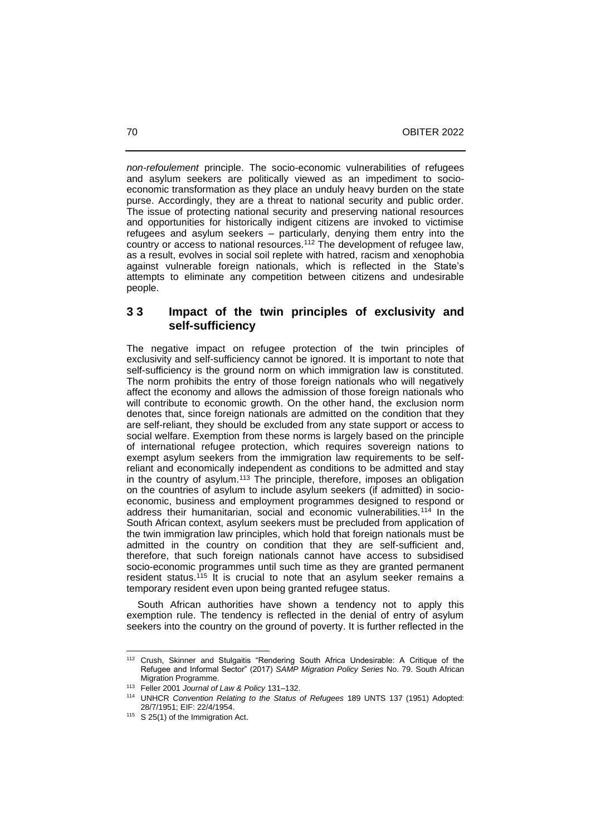*non-refoulement* principle. The socio-economic vulnerabilities of refugees and asylum seekers are politically viewed as an impediment to socioeconomic transformation as they place an unduly heavy burden on the state purse. Accordingly, they are a threat to national security and public order. The issue of protecting national security and preserving national resources and opportunities for historically indigent citizens are invoked to victimise refugees and asylum seekers – particularly, denying them entry into the country or access to national resources.<sup>112</sup> The development of refugee law, as a result, evolves in social soil replete with hatred, racism and xenophobia against vulnerable foreign nationals, which is reflected in the State's attempts to eliminate any competition between citizens and undesirable people.

### **3 3 Impact of the twin principles of exclusivity and self-sufficiency**

The negative impact on refugee protection of the twin principles of exclusivity and self-sufficiency cannot be ignored. It is important to note that self-sufficiency is the ground norm on which immigration law is constituted. The norm prohibits the entry of those foreign nationals who will negatively affect the economy and allows the admission of those foreign nationals who will contribute to economic growth. On the other hand, the exclusion norm denotes that, since foreign nationals are admitted on the condition that they are self-reliant, they should be excluded from any state support or access to social welfare. Exemption from these norms is largely based on the principle of international refugee protection, which requires sovereign nations to exempt asylum seekers from the immigration law requirements to be selfreliant and economically independent as conditions to be admitted and stay in the country of asylum.<sup>113</sup> The principle, therefore, imposes an obligation on the countries of asylum to include asylum seekers (if admitted) in socioeconomic, business and employment programmes designed to respond or address their humanitarian, social and economic vulnerabilities.<sup>114</sup> In the South African context, asylum seekers must be precluded from application of the twin immigration law principles, which hold that foreign nationals must be admitted in the country on condition that they are self-sufficient and, therefore, that such foreign nationals cannot have access to subsidised socio-economic programmes until such time as they are granted permanent resident status.<sup>115</sup> It is crucial to note that an asylum seeker remains a temporary resident even upon being granted refugee status.

 South African authorities have shown a tendency not to apply this exemption rule. The tendency is reflected in the denial of entry of asylum seekers into the country on the ground of poverty. It is further reflected in the

<sup>112</sup> Crush, Skinner and Stulgaitis "Rendering South Africa Undesirable: A Critique of the Refugee and Informal Sector" (2017) *SAMP Migration Policy Series* No. 79. South African Migration Programme.

<sup>&</sup>lt;sup>113</sup> Feller 2001 *Journal of Law & Policy* 131-132.

<sup>114</sup> UNHCR *Convention Relating to the Status of Refugees* 189 UNTS 137 (1951) Adopted: 28/7/1951; EIF: 22/4/1954.

<sup>115</sup> S 25(1) of the Immigration Act.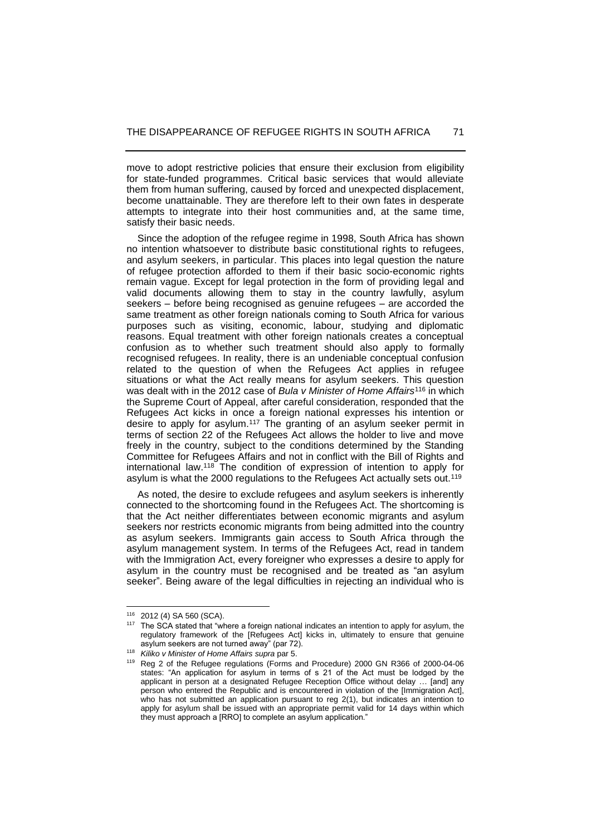move to adopt restrictive policies that ensure their exclusion from eligibility for state-funded programmes. Critical basic services that would alleviate them from human suffering, caused by forced and unexpected displacement, become unattainable. They are therefore left to their own fates in desperate attempts to integrate into their host communities and, at the same time, satisfy their basic needs.

 Since the adoption of the refugee regime in 1998, South Africa has shown no intention whatsoever to distribute basic constitutional rights to refugees, and asylum seekers, in particular. This places into legal question the nature of refugee protection afforded to them if their basic socio-economic rights remain vague. Except for legal protection in the form of providing legal and valid documents allowing them to stay in the country lawfully, asylum seekers – before being recognised as genuine refugees – are accorded the same treatment as other foreign nationals coming to South Africa for various purposes such as visiting, economic, labour, studying and diplomatic reasons. Equal treatment with other foreign nationals creates a conceptual confusion as to whether such treatment should also apply to formally recognised refugees. In reality, there is an undeniable conceptual confusion related to the question of when the Refugees Act applies in refugee situations or what the Act really means for asylum seekers. This question was dealt with in the 2012 case of *Bula v Minister of Home Affairs*<sup>116</sup> in which the Supreme Court of Appeal, after careful consideration, responded that the Refugees Act kicks in once a foreign national expresses his intention or desire to apply for asylum.<sup>117</sup> The granting of an asylum seeker permit in terms of section 22 of the Refugees Act allows the holder to live and move freely in the country, subject to the conditions determined by the Standing Committee for Refugees Affairs and not in conflict with the Bill of Rights and international law. <sup>118</sup> The condition of expression of intention to apply for asylum is what the 2000 regulations to the Refugees Act actually sets out.<sup>119</sup>

 As noted, the desire to exclude refugees and asylum seekers is inherently connected to the shortcoming found in the Refugees Act. The shortcoming is that the Act neither differentiates between economic migrants and asylum seekers nor restricts economic migrants from being admitted into the country as asylum seekers. Immigrants gain access to South Africa through the asylum management system. In terms of the Refugees Act, read in tandem with the Immigration Act, every foreigner who expresses a desire to apply for asylum in the country must be recognised and be treated as "an asylum seeker". Being aware of the legal difficulties in rejecting an individual who is

<sup>116</sup> 2012 (4) SA 560 (SCA).

The SCA stated that "where a foreign national indicates an intention to apply for asylum, the regulatory framework of the [Refugees Act] kicks in, ultimately to ensure that genuine asylum seekers are not turned away" (par 72).

<sup>118</sup> *Kiliko v Minister of Home Affairs supra* par 5.

<sup>119</sup> Reg 2 of the Refugee regulations (Forms and Procedure) 2000 GN R366 of 2000-04-06 states: "An application for asylum in terms of s 21 of the Act must be lodged by the applicant in person at a designated Refugee Reception Office without delay … [and] any person who entered the Republic and is encountered in violation of the [Immigration Act], who has not submitted an application pursuant to reg 2(1), but indicates an intention to apply for asylum shall be issued with an appropriate permit valid for 14 days within which they must approach a [RRO] to complete an asylum application."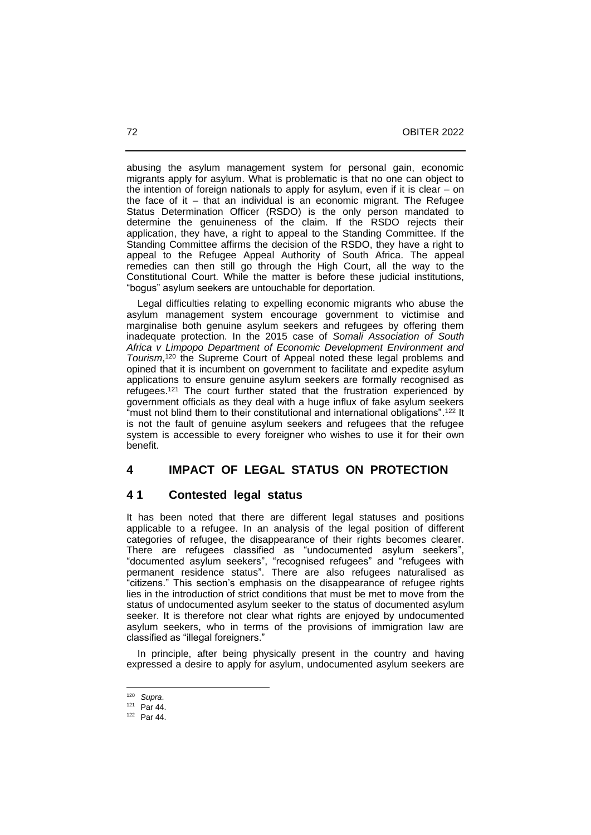abusing the asylum management system for personal gain, economic migrants apply for asylum. What is problematic is that no one can object to the intention of foreign nationals to apply for asylum, even if it is clear – on the face of it – that an individual is an economic migrant. The Refugee Status Determination Officer (RSDO) is the only person mandated to determine the genuineness of the claim. If the RSDO rejects their application, they have, a right to appeal to the Standing Committee. If the Standing Committee affirms the decision of the RSDO, they have a right to appeal to the Refugee Appeal Authority of South Africa. The appeal remedies can then still go through the High Court, all the way to the Constitutional Court. While the matter is before these judicial institutions, "bogus" asylum seekers are untouchable for deportation.

 Legal difficulties relating to expelling economic migrants who abuse the asylum management system encourage government to victimise and marginalise both genuine asylum seekers and refugees by offering them inadequate protection. In the 2015 case of *Somali Association of South Africa v Limpopo Department of Economic Development Environment and Tourism*, <sup>120</sup> the Supreme Court of Appeal noted these legal problems and opined that it is incumbent on government to facilitate and expedite asylum applications to ensure genuine asylum seekers are formally recognised as refugees.<sup>121</sup> The court further stated that the frustration experienced by government officials as they deal with a huge influx of fake asylum seekers "must not blind them to their constitutional and international obligations". <sup>122</sup> It is not the fault of genuine asylum seekers and refugees that the refugee system is accessible to every foreigner who wishes to use it for their own benefit.

## **4 IMPACT OF LEGAL STATUS ON PROTECTION**

## **4 1 Contested legal status**

It has been noted that there are different legal statuses and positions applicable to a refugee. In an analysis of the legal position of different categories of refugee, the disappearance of their rights becomes clearer. There are refugees classified as "undocumented asylum seekers", "documented asylum seekers", "recognised refugees" and "refugees with permanent residence status". There are also refugees naturalised as "citizens." This section's emphasis on the disappearance of refugee rights lies in the introduction of strict conditions that must be met to move from the status of undocumented asylum seeker to the status of documented asylum seeker. It is therefore not clear what rights are enjoyed by undocumented asylum seekers, who in terms of the provisions of immigration law are classified as "illegal foreigners."

 In principle, after being physically present in the country and having expressed a desire to apply for asylum, undocumented asylum seekers are

<sup>120</sup> *Supra*.

<sup>121</sup> Par 44.

<sup>122</sup> Par 44.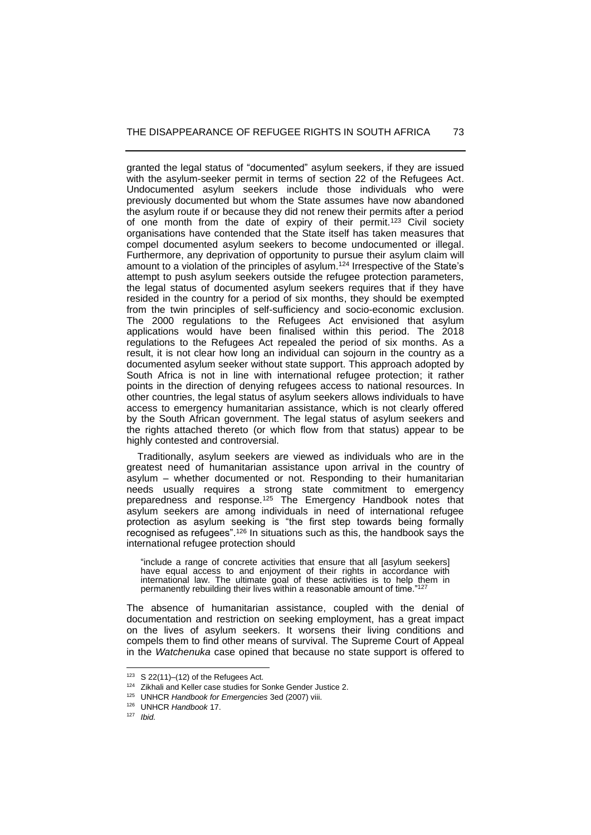granted the legal status of "documented" asylum seekers, if they are issued with the asylum-seeker permit in terms of section 22 of the Refugees Act. Undocumented asylum seekers include those individuals who were previously documented but whom the State assumes have now abandoned the asylum route if or because they did not renew their permits after a period of one month from the date of expiry of their permit.<sup>123</sup> Civil society organisations have contended that the State itself has taken measures that compel documented asylum seekers to become undocumented or illegal. Furthermore, any deprivation of opportunity to pursue their asylum claim will amount to a violation of the principles of asylum.<sup>124</sup> Irrespective of the State's attempt to push asylum seekers outside the refugee protection parameters, the legal status of documented asylum seekers requires that if they have resided in the country for a period of six months, they should be exempted from the twin principles of self-sufficiency and socio-economic exclusion. The 2000 regulations to the Refugees Act envisioned that asylum applications would have been finalised within this period. The 2018 regulations to the Refugees Act repealed the period of six months. As a result, it is not clear how long an individual can sojourn in the country as a documented asylum seeker without state support. This approach adopted by South Africa is not in line with international refugee protection; it rather points in the direction of denying refugees access to national resources. In other countries, the legal status of asylum seekers allows individuals to have access to emergency humanitarian assistance, which is not clearly offered by the South African government. The legal status of asylum seekers and the rights attached thereto (or which flow from that status) appear to be highly contested and controversial.

 Traditionally, asylum seekers are viewed as individuals who are in the greatest need of humanitarian assistance upon arrival in the country of asylum – whether documented or not. Responding to their humanitarian needs usually requires a strong state commitment to emergency preparedness and response.<sup>125</sup> The Emergency Handbook notes that asylum seekers are among individuals in need of international refugee protection as asylum seeking is "the first step towards being formally recognised as refugees".<sup>126</sup> In situations such as this, the handbook says the international refugee protection should

"include a range of concrete activities that ensure that all [asylum seekers] have equal access to and enjoyment of their rights in accordance with international law. The ultimate goal of these activities is to help them in permanently rebuilding their lives within a reasonable amount of time."<sup>127</sup>

The absence of humanitarian assistance, coupled with the denial of documentation and restriction on seeking employment, has a great impact on the lives of asylum seekers. It worsens their living conditions and compels them to find other means of survival. The Supreme Court of Appeal in the *Watchenuka* case opined that because no state support is offered to

 $123$  S 22(11)–(12) of the Refugees Act.

<sup>124</sup> Zikhali and Keller case studies for Sonke Gender Justice 2.

<sup>125</sup> UNHCR *Handbook for Emergencies* 3ed (2007) viii.

<sup>126</sup> UNHCR *Handbook* 17.

<sup>127</sup> *Ibid.*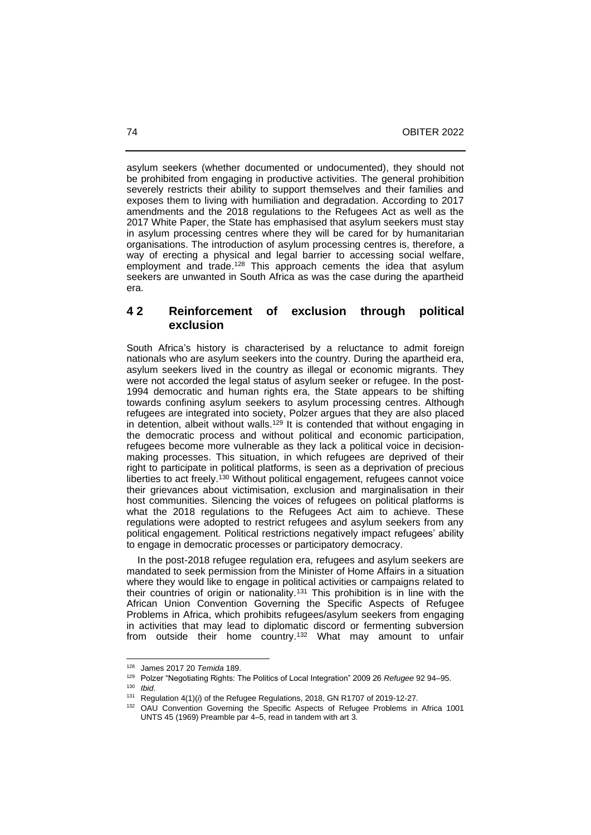asylum seekers (whether documented or undocumented), they should not be prohibited from engaging in productive activities. The general prohibition severely restricts their ability to support themselves and their families and exposes them to living with humiliation and degradation. According to 2017 amendments and the 2018 regulations to the Refugees Act as well as the 2017 White Paper, the State has emphasised that asylum seekers must stay in asylum processing centres where they will be cared for by humanitarian organisations. The introduction of asylum processing centres is, therefore, a way of erecting a physical and legal barrier to accessing social welfare, employment and trade.<sup>128</sup> This approach cements the idea that asylum seekers are unwanted in South Africa as was the case during the apartheid era.

## **4 2 Reinforcement of exclusion through political exclusion**

South Africa's history is characterised by a reluctance to admit foreign nationals who are asylum seekers into the country. During the apartheid era, asylum seekers lived in the country as illegal or economic migrants. They were not accorded the legal status of asylum seeker or refugee. In the post-1994 democratic and human rights era, the State appears to be shifting towards confining asylum seekers to asylum processing centres. Although refugees are integrated into society, Polzer argues that they are also placed in detention, albeit without walls.<sup>129</sup> It is contended that without engaging in the democratic process and without political and economic participation, refugees become more vulnerable as they lack a political voice in decisionmaking processes. This situation, in which refugees are deprived of their right to participate in political platforms, is seen as a deprivation of precious liberties to act freely.<sup>130</sup> Without political engagement, refugees cannot voice their grievances about victimisation, exclusion and marginalisation in their host communities. Silencing the voices of refugees on political platforms is what the 2018 regulations to the Refugees Act aim to achieve. These regulations were adopted to restrict refugees and asylum seekers from any political engagement. Political restrictions negatively impact refugees' ability to engage in democratic processes or participatory democracy.

 In the post-2018 refugee regulation era, refugees and asylum seekers are mandated to seek permission from the Minister of Home Affairs in a situation where they would like to engage in political activities or campaigns related to their countries of origin or nationality.<sup>131</sup> This prohibition is in line with the African Union Convention Governing the Specific Aspects of Refugee Problems in Africa, which prohibits refugees/asylum seekers from engaging in activities that may lead to diplomatic discord or fermenting subversion from outside their home country.<sup>132</sup> What may amount to unfair

<sup>128</sup> James 2017 20 *Temida* 189.

<sup>129</sup> Polzer "Negotiating Rights: The Politics of Local Integration" 2009 26 *Refugee* 92 94–95. <sup>130</sup> *Ibid*.

<sup>131</sup> Regulation 4(1)(*i*) of the Refugee Regulations, 2018, GN R1707 of 2019-12-27.

<sup>132</sup> OAU Convention Governing the Specific Aspects of Refugee Problems in Africa 1001 UNTS 45 (1969) Preamble par 4‒5, read in tandem with art 3.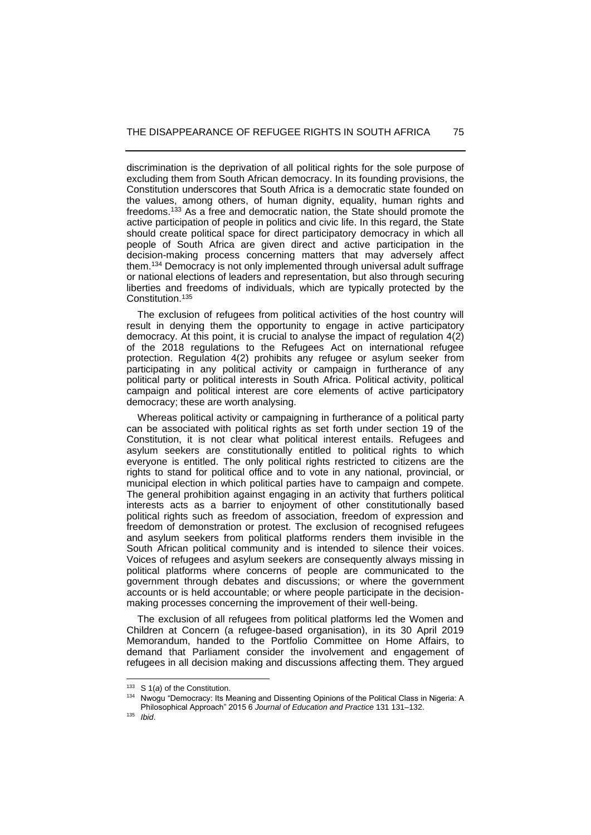discrimination is the deprivation of all political rights for the sole purpose of excluding them from South African democracy. In its founding provisions, the Constitution underscores that South Africa is a democratic state founded on the values, among others, of human dignity, equality, human rights and freedoms.<sup>133</sup> As a free and democratic nation, the State should promote the active participation of people in politics and civic life. In this regard, the State should create political space for direct participatory democracy in which all people of South Africa are given direct and active participation in the decision-making process concerning matters that may adversely affect them.<sup>134</sup> Democracy is not only implemented through universal adult suffrage or national elections of leaders and representation, but also through securing liberties and freedoms of individuals, which are typically protected by the Constitution.<sup>135</sup>

 The exclusion of refugees from political activities of the host country will result in denying them the opportunity to engage in active participatory democracy. At this point, it is crucial to analyse the impact of regulation 4(2) of the 2018 regulations to the Refugees Act on international refugee protection. Regulation 4(2) prohibits any refugee or asylum seeker from participating in any political activity or campaign in furtherance of any political party or political interests in South Africa. Political activity, political campaign and political interest are core elements of active participatory democracy; these are worth analysing.

 Whereas political activity or campaigning in furtherance of a political party can be associated with political rights as set forth under section 19 of the Constitution, it is not clear what political interest entails. Refugees and asylum seekers are constitutionally entitled to political rights to which everyone is entitled. The only political rights restricted to citizens are the rights to stand for political office and to vote in any national, provincial, or municipal election in which political parties have to campaign and compete. The general prohibition against engaging in an activity that furthers political interests acts as a barrier to enjoyment of other constitutionally based political rights such as freedom of association, freedom of expression and freedom of demonstration or protest. The exclusion of recognised refugees and asylum seekers from political platforms renders them invisible in the South African political community and is intended to silence their voices. Voices of refugees and asylum seekers are consequently always missing in political platforms where concerns of people are communicated to the government through debates and discussions; or where the government accounts or is held accountable; or where people participate in the decisionmaking processes concerning the improvement of their well-being.

 The exclusion of all refugees from political platforms led the Women and Children at Concern (a refugee-based organisation), in its 30 April 2019 Memorandum, handed to the Portfolio Committee on Home Affairs, to demand that Parliament consider the involvement and engagement of refugees in all decision making and discussions affecting them. They argued

<sup>133</sup> S 1(*a*) of the Constitution.

<sup>134</sup> Nwogu "Democracy: Its Meaning and Dissenting Opinions of the Political Class in Nigeria: A Philosophical Approach" 2015 6 *Journal of Education and Practice* 131 131-132.

<sup>135</sup> *Ibid*.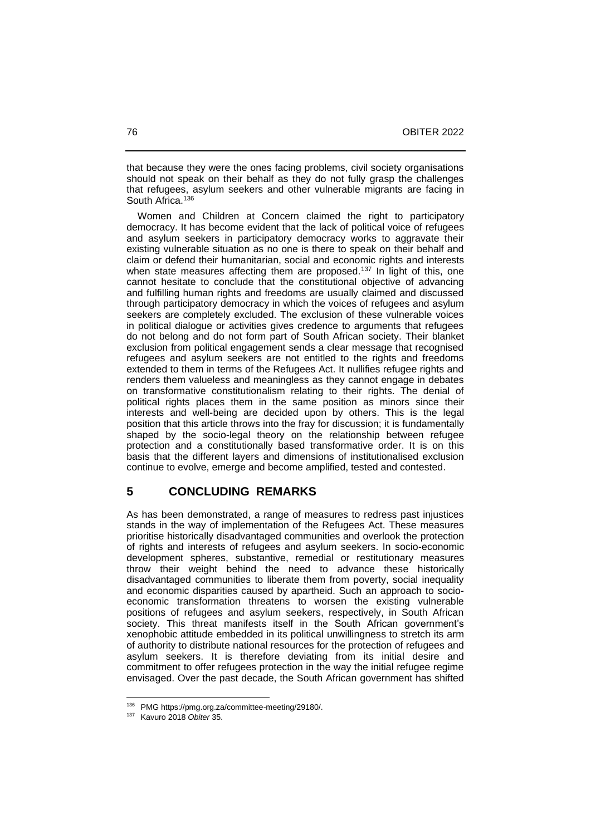that because they were the ones facing problems, civil society organisations should not speak on their behalf as they do not fully grasp the challenges that refugees, asylum seekers and other vulnerable migrants are facing in South Africa.<sup>136</sup>

 Women and Children at Concern claimed the right to participatory democracy. It has become evident that the lack of political voice of refugees and asylum seekers in participatory democracy works to aggravate their existing vulnerable situation as no one is there to speak on their behalf and claim or defend their humanitarian, social and economic rights and interests when state measures affecting them are proposed.<sup>137</sup> In light of this, one cannot hesitate to conclude that the constitutional objective of advancing and fulfilling human rights and freedoms are usually claimed and discussed through participatory democracy in which the voices of refugees and asylum seekers are completely excluded. The exclusion of these vulnerable voices in political dialogue or activities gives credence to arguments that refugees do not belong and do not form part of South African society. Their blanket exclusion from political engagement sends a clear message that recognised refugees and asylum seekers are not entitled to the rights and freedoms extended to them in terms of the Refugees Act. It nullifies refugee rights and renders them valueless and meaningless as they cannot engage in debates on transformative constitutionalism relating to their rights. The denial of political rights places them in the same position as minors since their interests and well-being are decided upon by others. This is the legal position that this article throws into the fray for discussion; it is fundamentally shaped by the socio-legal theory on the relationship between refugee protection and a constitutionally based transformative order. It is on this basis that the different layers and dimensions of institutionalised exclusion continue to evolve, emerge and become amplified, tested and contested.

### **5 CONCLUDING REMARKS**

As has been demonstrated, a range of measures to redress past injustices stands in the way of implementation of the Refugees Act. These measures prioritise historically disadvantaged communities and overlook the protection of rights and interests of refugees and asylum seekers. In socio-economic development spheres, substantive, remedial or restitutionary measures throw their weight behind the need to advance these historically disadvantaged communities to liberate them from poverty, social inequality and economic disparities caused by apartheid. Such an approach to socioeconomic transformation threatens to worsen the existing vulnerable positions of refugees and asylum seekers, respectively, in South African society. This threat manifests itself in the South African government's xenophobic attitude embedded in its political unwillingness to stretch its arm of authority to distribute national resources for the protection of refugees and asylum seekers. It is therefore deviating from its initial desire and commitment to offer refugees protection in the way the initial refugee regime envisaged. Over the past decade, the South African government has shifted

<sup>136</sup> PMG https://pmg.org.za/committee-meeting/29180/.

<sup>137</sup> Kavuro 2018 *Obiter* 35.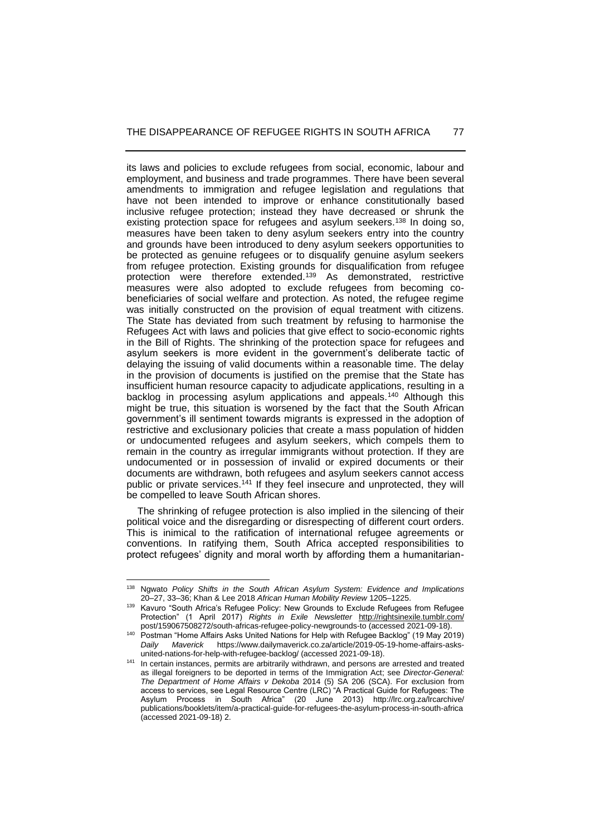its laws and policies to exclude refugees from social, economic, labour and employment, and business and trade programmes. There have been several amendments to immigration and refugee legislation and regulations that have not been intended to improve or enhance constitutionally based inclusive refugee protection; instead they have decreased or shrunk the existing protection space for refugees and asylum seekers.<sup>138</sup> In doing so, measures have been taken to deny asylum seekers entry into the country and grounds have been introduced to deny asylum seekers opportunities to be protected as genuine refugees or to disqualify genuine asylum seekers from refugee protection. Existing grounds for disqualification from refugee protection were therefore extended.<sup>139</sup> As demonstrated, restrictive measures were also adopted to exclude refugees from becoming cobeneficiaries of social welfare and protection. As noted, the refugee regime was initially constructed on the provision of equal treatment with citizens. The State has deviated from such treatment by refusing to harmonise the Refugees Act with laws and policies that give effect to socio-economic rights in the Bill of Rights. The shrinking of the protection space for refugees and asylum seekers is more evident in the government's deliberate tactic of delaying the issuing of valid documents within a reasonable time. The delay in the provision of documents is justified on the premise that the State has insufficient human resource capacity to adjudicate applications, resulting in a backlog in processing asylum applications and appeals.<sup>140</sup> Although this might be true, this situation is worsened by the fact that the South African government's ill sentiment towards migrants is expressed in the adoption of restrictive and exclusionary policies that create a mass population of hidden or undocumented refugees and asylum seekers, which compels them to remain in the country as irregular immigrants without protection. If they are undocumented or in possession of invalid or expired documents or their documents are withdrawn, both refugees and asylum seekers cannot access public or private services.<sup>141</sup> If they feel insecure and unprotected, they will be compelled to leave South African shores.

 The shrinking of refugee protection is also implied in the silencing of their political voice and the disregarding or disrespecting of different court orders. This is inimical to the ratification of international refugee agreements or conventions. In ratifying them, South Africa accepted responsibilities to protect refugees' dignity and moral worth by affording them a humanitarian-

<sup>138</sup> Ngwato *Policy Shifts in the South African Asylum System: Evidence and Implications* 20‒27, 33‒36; Khan & Lee 2018 *African Human Mobility Review* 1205‒1225.

<sup>&</sup>lt;sup>139</sup> Kavuro "South Africa's Refugee Policy: New Grounds to Exclude Refugees from Refugee Protection" (1 April 2017) *Rights in Exile Newsletter* <http://rightsinexile.tumblr.com/> post/159067508272/south-africas-refugee-policy-newgrounds-to (accessed 2021-09-18).

<sup>140</sup> Postman "Home Affairs Asks United Nations for Help with Refugee Backlog" (19 May 2019) *Daily Maverick* https://www.dailymaverick.co.za/article/2019-05-19-home-affairs-asksunited-nations-for-help-with-refugee-backlog/ (accessed 2021-09-18).

<sup>141</sup> In certain instances, permits are arbitrarily withdrawn, and persons are arrested and treated as illegal foreigners to be deported in terms of the Immigration Act; see *Director-General: The Department of Home Affairs v Dekoba* 2014 (5) SA 206 (SCA). For exclusion from access to services, see Legal Resource Centre (LRC) "A Practical Guide for Refugees: The Asylum Process in South Africa" (20 June 2013) http://lrc.org.za/lrcarchive/ publications/booklets/item/a-practical-guide-for-refugees-the-asylum-process-in-south-africa (accessed 2021-09-18) 2.